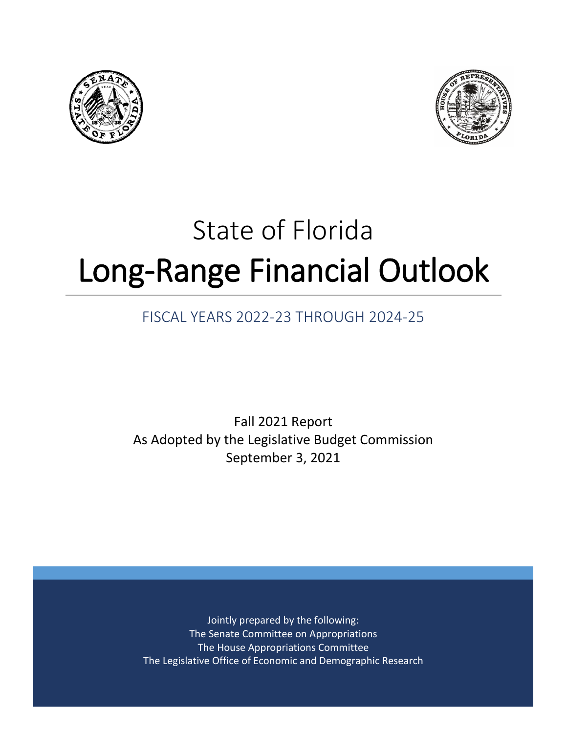



# State of Florida Long-Range Financial Outlook

# FISCAL YEARS 2022-23 THROUGH 2024-25

Fall 2021 Report As Adopted by the Legislative Budget Commission September 3, 2021

Jointly prepared by the following: The Senate Committee on Appropriations The House Appropriations Committee The Legislative Office of Economic and Demographic Research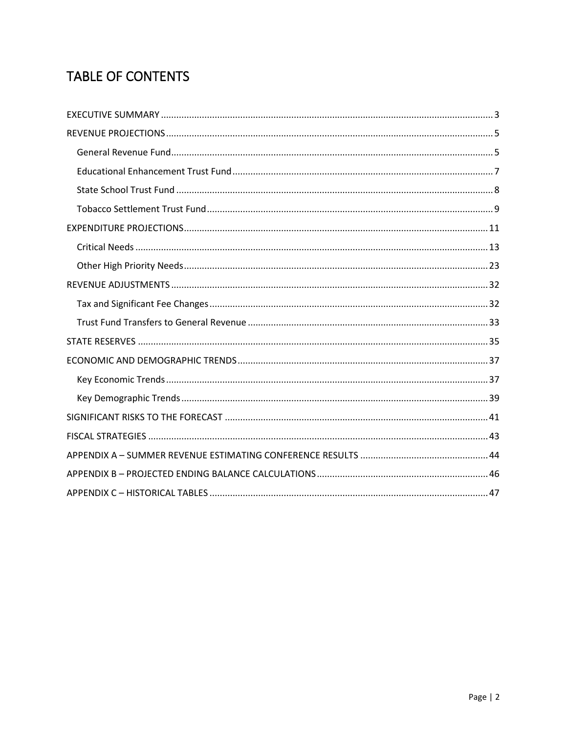# **TABLE OF CONTENTS**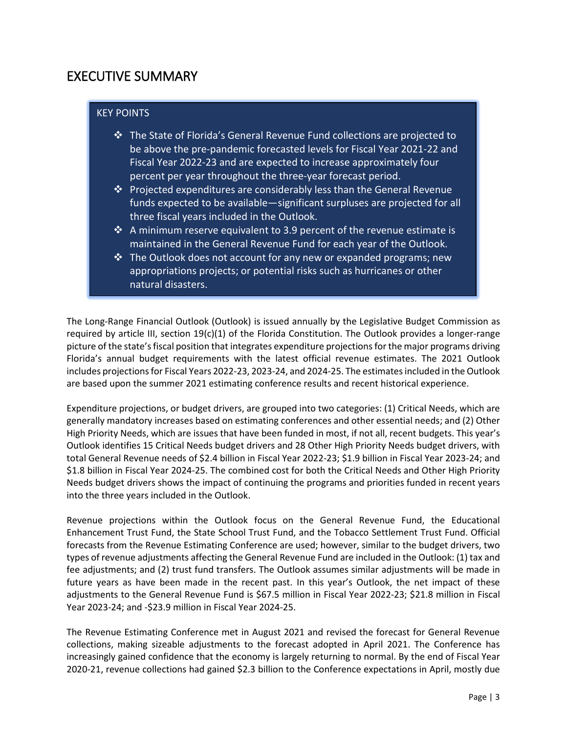## <span id="page-2-0"></span>EXECUTIVE SUMMARY

#### KEY POINTS

- The State of Florida's General Revenue Fund collections are projected to be above the pre-pandemic forecasted levels for Fiscal Year 2021-22 and Fiscal Year 2022-23 and are expected to increase approximately four percent per year throughout the three-year forecast period.
- $\cdot$  Projected expenditures are considerably less than the General Revenue funds expected to be available—significant surpluses are projected for all three fiscal years included in the Outlook.
- $\cdot$  A minimum reserve equivalent to 3.9 percent of the revenue estimate is maintained in the General Revenue Fund for each year of the Outlook.
- $\cdot$  The Outlook does not account for any new or expanded programs; new appropriations projects; or potential risks such as hurricanes or other natural disasters.

The Long-Range Financial Outlook (Outlook) is issued annually by the Legislative Budget Commission as required by article III, section  $19(c)(1)$  of the Florida Constitution. The Outlook provides a longer-range picture of the state's fiscal position that integrates expenditure projections forthe major programs driving Florida's annual budget requirements with the latest official revenue estimates. The 2021 Outlook includes projections for Fiscal Years 2022-23, 2023-24, and 2024-25. The estimates included in the Outlook are based upon the summer 2021 estimating conference results and recent historical experience.

Expenditure projections, or budget drivers, are grouped into two categories: (1) Critical Needs, which are generally mandatory increases based on estimating conferences and other essential needs; and (2) Other High Priority Needs, which are issues that have been funded in most, if not all, recent budgets. This year's Outlook identifies 15 Critical Needs budget drivers and 28 Other High Priority Needs budget drivers, with total General Revenue needs of \$2.4 billion in Fiscal Year 2022-23; \$1.9 billion in Fiscal Year 2023-24; and \$1.8 billion in Fiscal Year 2024-25. The combined cost for both the Critical Needs and Other High Priority Needs budget drivers shows the impact of continuing the programs and priorities funded in recent years into the three years included in the Outlook.

Revenue projections within the Outlook focus on the General Revenue Fund, the Educational Enhancement Trust Fund, the State School Trust Fund, and the Tobacco Settlement Trust Fund. Official forecasts from the Revenue Estimating Conference are used; however, similar to the budget drivers, two types of revenue adjustments affecting the General Revenue Fund are included in the Outlook: (1) tax and fee adjustments; and (2) trust fund transfers. The Outlook assumes similar adjustments will be made in future years as have been made in the recent past. In this year's Outlook, the net impact of these adjustments to the General Revenue Fund is \$67.5 million in Fiscal Year 2022-23; \$21.8 million in Fiscal Year 2023-24; and -\$23.9 million in Fiscal Year 2024-25.

The Revenue Estimating Conference met in August 2021 and revised the forecast for General Revenue collections, making sizeable adjustments to the forecast adopted in April 2021. The Conference has increasingly gained confidence that the economy is largely returning to normal. By the end of Fiscal Year 2020-21, revenue collections had gained \$2.3 billion to the Conference expectations in April, mostly due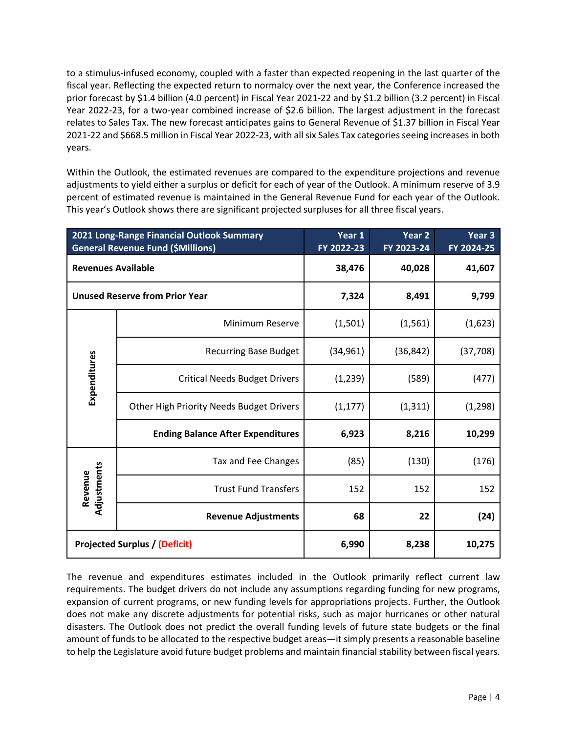to a stimulus-infused economy, coupled with a faster than expected reopening in the last quarter of the fiscal year. Reflecting the expected return to normalcy over the next year, the Conference increased the prior forecast by \$1.4 billion (4.0 percent) in Fiscal Year 2021-22 and by \$1.2 billion (3.2 percent) in Fiscal Year 2022-23, for a two-year combined increase of \$2.6 billion. The largest adjustment in the forecast relates to Sales Tax. The new forecast anticipates gains to General Revenue of \$1.37 billion in Fiscal Year 2021-22 and \$668.5 million in Fiscal Year 2022-23, with all six Sales Tax categories seeing increases in both years.

Within the Outlook, the estimated revenues are compared to the expenditure projections and revenue adjustments to yield either a surplus or deficit for each of year of the Outlook. A minimum reserve of 3.9 percent of estimated revenue is maintained in the General Revenue Fund for each year of the Outlook. This year's Outlook shows there are significant projected surpluses for all three fiscal years.

|                           | 2021 Long-Range Financial Outlook Summary<br><b>General Revenue Fund (\$Millions)</b> | Year 1<br>FY 2022-23 | Year 2<br>FY 2023-24 | Year 3<br>FY 2024-25 |
|---------------------------|---------------------------------------------------------------------------------------|----------------------|----------------------|----------------------|
| <b>Revenues Available</b> |                                                                                       | 38,476               | 40,028               | 41,607               |
|                           | <b>Unused Reserve from Prior Year</b>                                                 | 7,324                | 8,491                | 9,799                |
|                           | Minimum Reserve                                                                       | (1,501)              | (1, 561)             | (1,623)              |
|                           | <b>Recurring Base Budget</b>                                                          | (34, 961)            | (36, 842)            | (37, 708)            |
| Expenditures              | <b>Critical Needs Budget Drivers</b>                                                  | (1,239)              | (589)                | (477)                |
|                           | Other High Priority Needs Budget Drivers                                              | (1, 177)             | (1, 311)             | (1, 298)             |
|                           | <b>Ending Balance After Expenditures</b>                                              | 6,923                | 8,216                | 10,299               |
|                           | Tax and Fee Changes                                                                   | (85)                 | (130)                | (176)                |
| Adjustments<br>Revenue    | <b>Trust Fund Transfers</b>                                                           | 152                  | 152                  | 152                  |
|                           | <b>Revenue Adjustments</b>                                                            | 68                   | 22                   | (24)                 |
|                           | <b>Projected Surplus / (Deficit)</b>                                                  | 6,990                | 8,238                | 10,275               |

The revenue and expenditures estimates included in the Outlook primarily reflect current law requirements. The budget drivers do not include any assumptions regarding funding for new programs, expansion of current programs, or new funding levels for appropriations projects. Further, the Outlook does not make any discrete adjustments for potential risks, such as major hurricanes or other natural disasters. The Outlook does not predict the overall funding levels of future state budgets or the final amount of funds to be allocated to the respective budget areas—it simply presents a reasonable baseline to help the Legislature avoid future budget problems and maintain financial stability between fiscal years.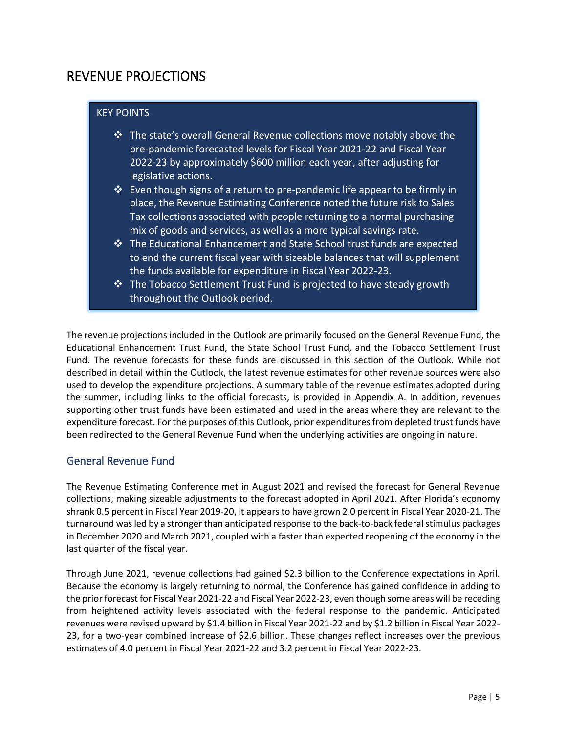## <span id="page-4-0"></span>REVENUE PROJECTIONS

#### KEY POINTS

- The state's overall General Revenue collections move notably above the pre-pandemic forecasted levels for Fiscal Year 2021-22 and Fiscal Year 2022-23 by approximately \$600 million each year, after adjusting for legislative actions.
- $\hat{\mathbf{v}}$  Even though signs of a return to pre-pandemic life appear to be firmly in place, the Revenue Estimating Conference noted the future risk to Sales Tax collections associated with people returning to a normal purchasing mix of goods and services, as well as a more typical savings rate.
- The Educational Enhancement and State School trust funds are expected to end the current fiscal year with sizeable balances that will supplement the funds available for expenditure in Fiscal Year 2022-23.
- $\cdot$  The Tobacco Settlement Trust Fund is projected to have steady growth throughout the Outlook period.

The revenue projections included in the Outlook are primarily focused on the General Revenue Fund, the Educational Enhancement Trust Fund, the State School Trust Fund, and the Tobacco Settlement Trust Fund. The revenue forecasts for these funds are discussed in this section of the Outlook. While not described in detail within the Outlook, the latest revenue estimates for other revenue sources were also used to develop the expenditure projections. A summary table of the revenue estimates adopted during the summer, including links to the official forecasts, is provided in Appendix A. In addition, revenues supporting other trust funds have been estimated and used in the areas where they are relevant to the expenditure forecast. For the purposes of this Outlook, prior expenditures from depleted trust funds have been redirected to the General Revenue Fund when the underlying activities are ongoing in nature.

## <span id="page-4-1"></span>General Revenue Fund

The Revenue Estimating Conference met in August 2021 and revised the forecast for General Revenue collections, making sizeable adjustments to the forecast adopted in April 2021. After Florida's economy shrank 0.5 percent in Fiscal Year 2019-20, it appears to have grown 2.0 percent in Fiscal Year 2020-21. The turnaround was led by a stronger than anticipated response to the back-to-back federal stimulus packages in December 2020 and March 2021, coupled with a faster than expected reopening of the economy in the last quarter of the fiscal year.

Through June 2021, revenue collections had gained \$2.3 billion to the Conference expectations in April. Because the economy is largely returning to normal, the Conference has gained confidence in adding to the prior forecast for Fiscal Year 2021-22 and Fiscal Year 2022-23, even though some areas will be receding from heightened activity levels associated with the federal response to the pandemic. Anticipated revenues were revised upward by \$1.4 billion in Fiscal Year 2021-22 and by \$1.2 billion in Fiscal Year 2022- 23, for a two-year combined increase of \$2.6 billion. These changes reflect increases over the previous estimates of 4.0 percent in Fiscal Year 2021-22 and 3.2 percent in Fiscal Year 2022-23.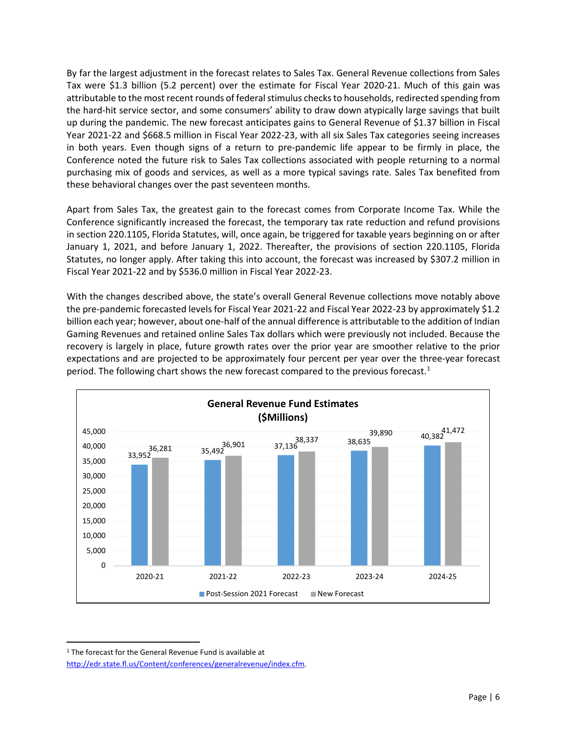By far the largest adjustment in the forecast relates to Sales Tax. General Revenue collections from Sales Tax were \$1.3 billion (5.2 percent) over the estimate for Fiscal Year 2020-21. Much of this gain was attributable to the most recent rounds of federal stimulus checks to households, redirected spending from the hard-hit service sector, and some consumers' ability to draw down atypically large savings that built up during the pandemic. The new forecast anticipates gains to General Revenue of \$1.37 billion in Fiscal Year 2021-22 and \$668.5 million in Fiscal Year 2022-23, with all six Sales Tax categories seeing increases in both years. Even though signs of a return to pre-pandemic life appear to be firmly in place, the Conference noted the future risk to Sales Tax collections associated with people returning to a normal purchasing mix of goods and services, as well as a more typical savings rate. Sales Tax benefited from these behavioral changes over the past seventeen months.

Apart from Sales Tax, the greatest gain to the forecast comes from Corporate Income Tax. While the Conference significantly increased the forecast, the temporary tax rate reduction and refund provisions in section 220.1105, Florida Statutes, will, once again, be triggered for taxable years beginning on or after January 1, 2021, and before January 1, 2022. Thereafter, the provisions of section 220.1105, Florida Statutes, no longer apply. After taking this into account, the forecast was increased by \$307.2 million in Fiscal Year 2021-22 and by \$536.0 million in Fiscal Year 2022-23.

With the changes described above, the state's overall General Revenue collections move notably above the pre-pandemic forecasted levels for Fiscal Year 2021-22 and Fiscal Year 2022-23 by approximately \$1.2 billion each year; however, about one-half of the annual difference is attributable to the addition of Indian Gaming Revenues and retained online Sales Tax dollars which were previously not included. Because the recovery is largely in place, future growth rates over the prior year are smoother relative to the prior expectations and are projected to be approximately four percent per year over the three-year forecast period. The following chart shows the new forecast compared to the previous forecast.<sup>[1](#page-5-0)</sup>



<span id="page-5-0"></span><sup>&</sup>lt;sup>1</sup> The forecast for the General Revenue Fund is available at [http://edr.state.fl.us/Content/conferences/generalrevenue/index.cfm.](http://edr.state.fl.us/Content/conferences/generalrevenue/index.cfm)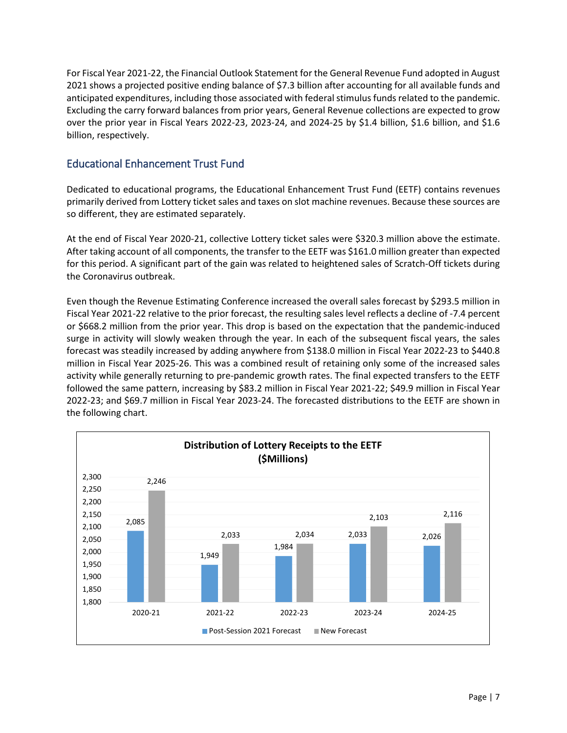For Fiscal Year 2021-22, the Financial Outlook Statement for the General Revenue Fund adopted in August 2021 shows a projected positive ending balance of \$7.3 billion after accounting for all available funds and anticipated expenditures, including those associated with federal stimulus funds related to the pandemic. Excluding the carry forward balances from prior years, General Revenue collections are expected to grow over the prior year in Fiscal Years 2022-23, 2023-24, and 2024-25 by \$1.4 billion, \$1.6 billion, and \$1.6 billion, respectively.

## <span id="page-6-0"></span>Educational Enhancement Trust Fund

Dedicated to educational programs, the Educational Enhancement Trust Fund (EETF) contains revenues primarily derived from Lottery ticket sales and taxes on slot machine revenues. Because these sources are so different, they are estimated separately.

At the end of Fiscal Year 2020-21, collective Lottery ticket sales were \$320.3 million above the estimate. After taking account of all components, the transfer to the EETF was \$161.0 million greater than expected for this period. A significant part of the gain was related to heightened sales of Scratch-Off tickets during the Coronavirus outbreak.

Even though the Revenue Estimating Conference increased the overall sales forecast by \$293.5 million in Fiscal Year 2021-22 relative to the prior forecast, the resulting sales level reflects a decline of -7.4 percent or \$668.2 million from the prior year. This drop is based on the expectation that the pandemic-induced surge in activity will slowly weaken through the year. In each of the subsequent fiscal years, the sales forecast was steadily increased by adding anywhere from \$138.0 million in Fiscal Year 2022-23 to \$440.8 million in Fiscal Year 2025-26. This was a combined result of retaining only some of the increased sales activity while generally returning to pre-pandemic growth rates. The final expected transfers to the EETF followed the same pattern, increasing by \$83.2 million in Fiscal Year 2021-22; \$49.9 million in Fiscal Year 2022-23; and \$69.7 million in Fiscal Year 2023-24. The forecasted distributions to the EETF are shown in the following chart.

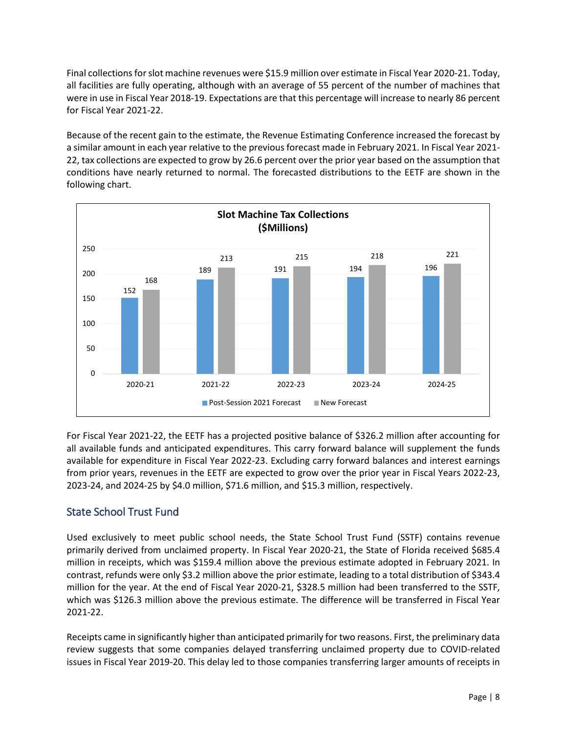Final collections for slot machine revenues were \$15.9 million over estimate in Fiscal Year 2020-21. Today, all facilities are fully operating, although with an average of 55 percent of the number of machines that were in use in Fiscal Year 2018-19. Expectations are that this percentage will increase to nearly 86 percent for Fiscal Year 2021-22.

Because of the recent gain to the estimate, the Revenue Estimating Conference increased the forecast by a similar amount in each year relative to the previous forecast made in February 2021. In Fiscal Year 2021- 22, tax collections are expected to grow by 26.6 percent over the prior year based on the assumption that conditions have nearly returned to normal. The forecasted distributions to the EETF are shown in the following chart.



For Fiscal Year 2021-22, the EETF has a projected positive balance of \$326.2 million after accounting for all available funds and anticipated expenditures. This carry forward balance will supplement the funds available for expenditure in Fiscal Year 2022-23. Excluding carry forward balances and interest earnings from prior years, revenues in the EETF are expected to grow over the prior year in Fiscal Years 2022-23, 2023-24, and 2024-25 by \$4.0 million, \$71.6 million, and \$15.3 million, respectively.

## <span id="page-7-0"></span>State School Trust Fund

Used exclusively to meet public school needs, the State School Trust Fund (SSTF) contains revenue primarily derived from unclaimed property. In Fiscal Year 2020-21, the State of Florida received \$685.4 million in receipts, which was \$159.4 million above the previous estimate adopted in February 2021. In contrast, refunds were only \$3.2 million above the prior estimate, leading to a total distribution of \$343.4 million for the year. At the end of Fiscal Year 2020-21, \$328.5 million had been transferred to the SSTF, which was \$126.3 million above the previous estimate. The difference will be transferred in Fiscal Year 2021-22.

Receipts came in significantly higher than anticipated primarily for two reasons. First, the preliminary data review suggests that some companies delayed transferring unclaimed property due to COVID-related issues in Fiscal Year 2019-20. This delay led to those companies transferring larger amounts of receipts in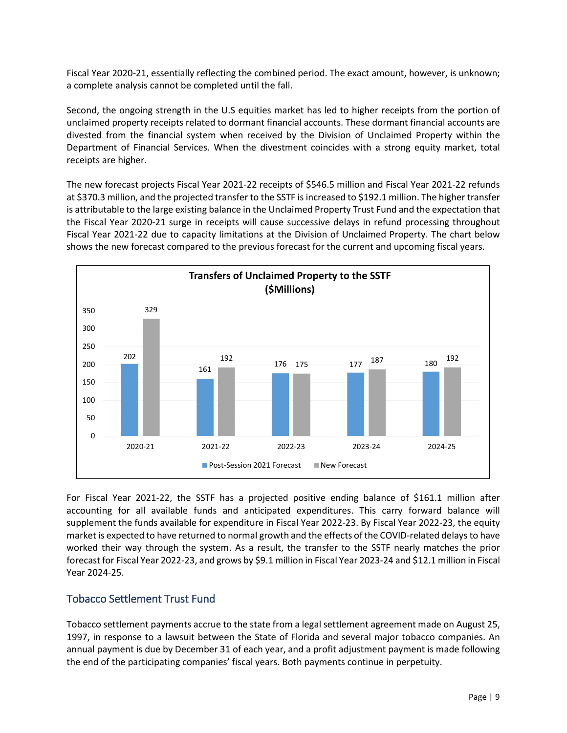Fiscal Year 2020-21, essentially reflecting the combined period. The exact amount, however, is unknown; a complete analysis cannot be completed until the fall.

Second, the ongoing strength in the U.S equities market has led to higher receipts from the portion of unclaimed property receipts related to dormant financial accounts. These dormant financial accounts are divested from the financial system when received by the Division of Unclaimed Property within the Department of Financial Services. When the divestment coincides with a strong equity market, total receipts are higher.

The new forecast projects Fiscal Year 2021-22 receipts of \$546.5 million and Fiscal Year 2021-22 refunds at \$370.3 million, and the projected transfer to the SSTF is increased to \$192.1 million. The higher transfer is attributable to the large existing balance in the Unclaimed Property Trust Fund and the expectation that the Fiscal Year 2020-21 surge in receipts will cause successive delays in refund processing throughout Fiscal Year 2021-22 due to capacity limitations at the Division of Unclaimed Property. The chart below shows the new forecast compared to the previous forecast for the current and upcoming fiscal years.



For Fiscal Year 2021-22, the SSTF has a projected positive ending balance of \$161.1 million after accounting for all available funds and anticipated expenditures. This carry forward balance will supplement the funds available for expenditure in Fiscal Year 2022-23. By Fiscal Year 2022-23, the equity market is expected to have returned to normal growth and the effects of the COVID-related delays to have worked their way through the system. As a result, the transfer to the SSTF nearly matches the prior forecast for Fiscal Year 2022-23, and grows by \$9.1 million in Fiscal Year 2023-24 and \$12.1 million in Fiscal Year 2024-25.

## <span id="page-8-0"></span>Tobacco Settlement Trust Fund

Tobacco settlement payments accrue to the state from a legal settlement agreement made on August 25, 1997, in response to a lawsuit between the State of Florida and several major tobacco companies. An annual payment is due by December 31 of each year, and a profit adjustment payment is made following the end of the participating companies' fiscal years. Both payments continue in perpetuity.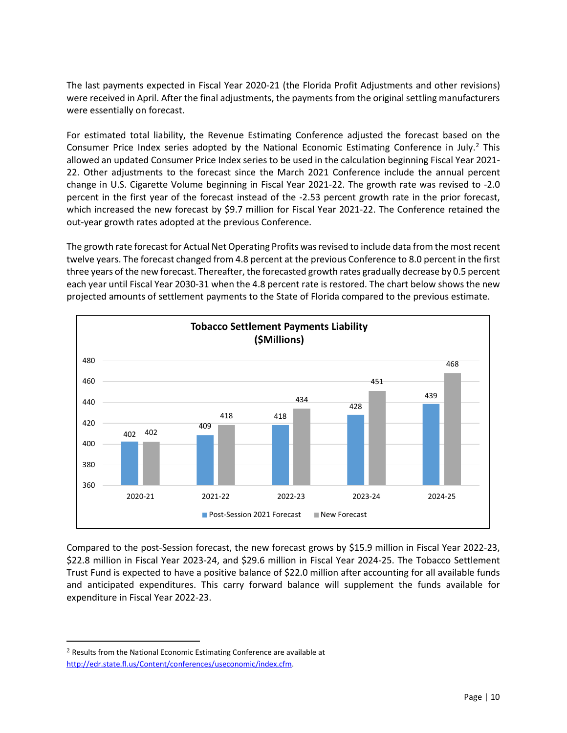The last payments expected in Fiscal Year 2020-21 (the Florida Profit Adjustments and other revisions) were received in April. After the final adjustments, the payments from the original settling manufacturers were essentially on forecast.

For estimated total liability, the Revenue Estimating Conference adjusted the forecast based on the Consumer Price Index series adopted by the National Economic Estimating Conference in July.<sup>[2](#page-9-0)</sup> This allowed an updated Consumer Price Index series to be used in the calculation beginning Fiscal Year 2021- 22. Other adjustments to the forecast since the March 2021 Conference include the annual percent change in U.S. Cigarette Volume beginning in Fiscal Year 2021-22. The growth rate was revised to -2.0 percent in the first year of the forecast instead of the -2.53 percent growth rate in the prior forecast, which increased the new forecast by \$9.7 million for Fiscal Year 2021-22. The Conference retained the out-year growth rates adopted at the previous Conference.

The growth rate forecast for Actual Net Operating Profits was revised to include data from the most recent twelve years. The forecast changed from 4.8 percent at the previous Conference to 8.0 percent in the first three years of the new forecast. Thereafter, the forecasted growth rates gradually decrease by 0.5 percent each year until Fiscal Year 2030-31 when the 4.8 percent rate is restored. The chart below shows the new projected amounts of settlement payments to the State of Florida compared to the previous estimate.



Compared to the post-Session forecast, the new forecast grows by \$15.9 million in Fiscal Year 2022-23, \$22.8 million in Fiscal Year 2023-24, and \$29.6 million in Fiscal Year 2024-25. The Tobacco Settlement Trust Fund is expected to have a positive balance of \$22.0 million after accounting for all available funds and anticipated expenditures. This carry forward balance will supplement the funds available for expenditure in Fiscal Year 2022-23.

l

<span id="page-9-0"></span><sup>2</sup> Results from the National Economic Estimating Conference are available at [http://edr.state.fl.us/Content/conferences/useconomic/index.cfm.](http://edr.state.fl.us/Content/conferences/useconomic/index.cfm)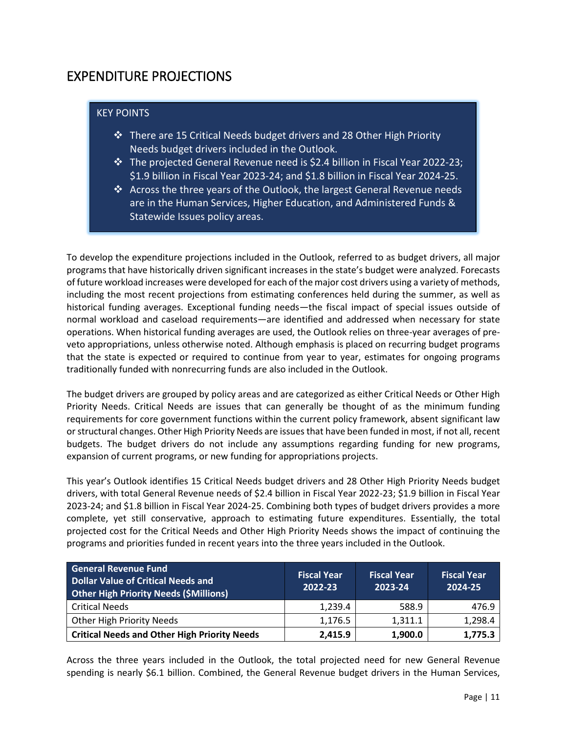# <span id="page-10-0"></span>EXPENDITURE PROJECTIONS

#### KEY POINTS

- $\cdot$  There are 15 Critical Needs budget drivers and 28 Other High Priority Needs budget drivers included in the Outlook.
- $\cdot$  The projected General Revenue need is \$2.4 billion in Fiscal Year 2022-23; \$1.9 billion in Fiscal Year 2023-24; and \$1.8 billion in Fiscal Year 2024-25.
- $\triangle$  Across the three years of the Outlook, the largest General Revenue needs are in the Human Services, Higher Education, and Administered Funds & Statewide Issues policy areas.

To develop the expenditure projections included in the Outlook, referred to as budget drivers, all major programs that have historically driven significant increases in the state's budget were analyzed. Forecasts of future workload increases were developed for each of the major cost drivers using a variety of methods, including the most recent projections from estimating conferences held during the summer, as well as historical funding averages. Exceptional funding needs—the fiscal impact of special issues outside of normal workload and caseload requirements—are identified and addressed when necessary for state operations. When historical funding averages are used, the Outlook relies on three-year averages of preveto appropriations, unless otherwise noted. Although emphasis is placed on recurring budget programs that the state is expected or required to continue from year to year, estimates for ongoing programs traditionally funded with nonrecurring funds are also included in the Outlook.

The budget drivers are grouped by policy areas and are categorized as either Critical Needs or Other High Priority Needs. Critical Needs are issues that can generally be thought of as the minimum funding requirements for core government functions within the current policy framework, absent significant law or structural changes. Other High Priority Needs are issues that have been funded in most, if not all, recent budgets. The budget drivers do not include any assumptions regarding funding for new programs, expansion of current programs, or new funding for appropriations projects.

This year's Outlook identifies 15 Critical Needs budget drivers and 28 Other High Priority Needs budget drivers, with total General Revenue needs of \$2.4 billion in Fiscal Year 2022-23; \$1.9 billion in Fiscal Year 2023-24; and \$1.8 billion in Fiscal Year 2024-25. Combining both types of budget drivers provides a more complete, yet still conservative, approach to estimating future expenditures. Essentially, the total projected cost for the Critical Needs and Other High Priority Needs shows the impact of continuing the programs and priorities funded in recent years into the three years included in the Outlook.

| <b>General Revenue Fund</b><br><b>Dollar Value of Critical Needs and</b><br><b>Other High Priority Needs (\$Millions)</b> | <b>Fiscal Year</b><br>2022-23 | <b>Fiscal Year</b><br>2023-24 | <b>Fiscal Year</b><br>2024-25 |  |
|---------------------------------------------------------------------------------------------------------------------------|-------------------------------|-------------------------------|-------------------------------|--|
| <b>Critical Needs</b>                                                                                                     | 1,239.4                       | 588.9                         | 476.9                         |  |
| Other High Priority Needs                                                                                                 | 1,176.5                       | 1,311.1                       | 1,298.4                       |  |
| <b>Critical Needs and Other High Priority Needs</b>                                                                       | 2,415.9                       | 1,900.0                       | 1,775.3                       |  |

Across the three years included in the Outlook, the total projected need for new General Revenue spending is nearly \$6.1 billion. Combined, the General Revenue budget drivers in the Human Services,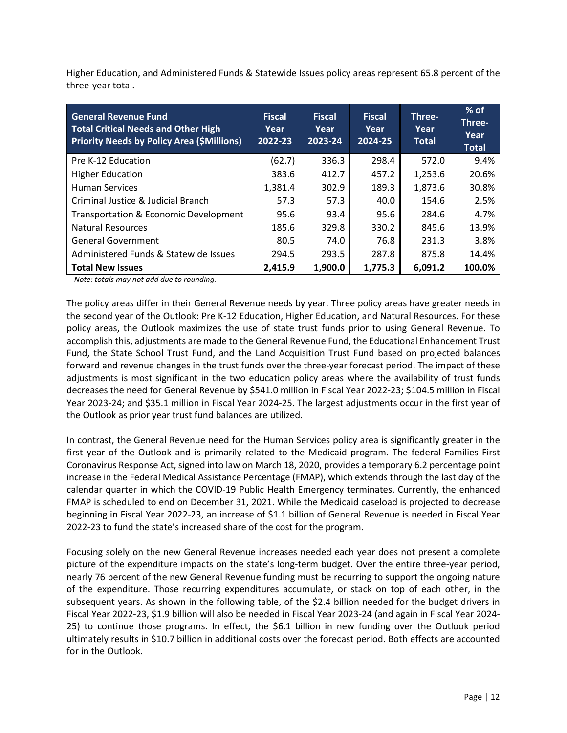Higher Education, and Administered Funds & Statewide Issues policy areas represent 65.8 percent of the three-year total.

| <b>General Revenue Fund</b><br><b>Total Critical Needs and Other High</b><br><b>Priority Needs by Policy Area (\$Millions)</b> | <b>Fiscal</b><br>Year<br>2022-23 | <b>Fiscal</b><br>Year<br>2023-24 | <b>Fiscal</b><br>Year<br>2024-25 | Three-<br>Year<br><b>Total</b> | $%$ of<br>Three-<br>Year<br><b>Total</b> |
|--------------------------------------------------------------------------------------------------------------------------------|----------------------------------|----------------------------------|----------------------------------|--------------------------------|------------------------------------------|
| Pre K-12 Education                                                                                                             | (62.7)                           | 336.3                            | 298.4                            | 572.0                          | 9.4%                                     |
| <b>Higher Education</b>                                                                                                        | 383.6                            | 412.7                            | 457.2                            | 1,253.6                        | 20.6%                                    |
| <b>Human Services</b>                                                                                                          | 1,381.4                          | 302.9                            | 189.3                            | 1,873.6                        | 30.8%                                    |
| Criminal Justice & Judicial Branch                                                                                             | 57.3                             | 57.3                             | 40.0                             | 154.6                          | 2.5%                                     |
| Transportation & Economic Development                                                                                          | 95.6                             | 93.4                             | 95.6                             | 284.6                          | 4.7%                                     |
| Natural Resources                                                                                                              | 185.6                            | 329.8                            | 330.2                            | 845.6                          | 13.9%                                    |
| <b>General Government</b>                                                                                                      | 80.5                             | 74.0                             | 76.8                             | 231.3                          | 3.8%                                     |
| Administered Funds & Statewide Issues                                                                                          | 294.5                            | 293.5                            | 287.8                            | 875.8                          | 14.4%                                    |
| <b>Total New Issues</b>                                                                                                        | 2,415.9                          | 1,900.0                          | 1,775.3                          | 6,091.2                        | 100.0%                                   |

 *Note: totals may not add due to rounding.*

The policy areas differ in their General Revenue needs by year. Three policy areas have greater needs in the second year of the Outlook: Pre K-12 Education, Higher Education, and Natural Resources. For these policy areas, the Outlook maximizes the use of state trust funds prior to using General Revenue. To accomplish this, adjustments are made to the General Revenue Fund, the Educational Enhancement Trust Fund, the State School Trust Fund, and the Land Acquisition Trust Fund based on projected balances forward and revenue changes in the trust funds over the three-year forecast period. The impact of these adjustments is most significant in the two education policy areas where the availability of trust funds decreases the need for General Revenue by \$541.0 million in Fiscal Year 2022-23; \$104.5 million in Fiscal Year 2023-24; and \$35.1 million in Fiscal Year 2024-25. The largest adjustments occur in the first year of the Outlook as prior year trust fund balances are utilized.

In contrast, the General Revenue need for the Human Services policy area is significantly greater in the first year of the Outlook and is primarily related to the Medicaid program. The federal Families First Coronavirus Response Act, signed into law on March 18, 2020, provides a temporary 6.2 percentage point increase in the Federal Medical Assistance Percentage (FMAP), which extends through the last day of the calendar quarter in which the COVID-19 Public Health Emergency terminates. Currently, the enhanced FMAP is scheduled to end on December 31, 2021. While the Medicaid caseload is projected to decrease beginning in Fiscal Year 2022-23, an increase of \$1.1 billion of General Revenue is needed in Fiscal Year 2022-23 to fund the state's increased share of the cost for the program.

Focusing solely on the new General Revenue increases needed each year does not present a complete picture of the expenditure impacts on the state's long-term budget. Over the entire three-year period, nearly 76 percent of the new General Revenue funding must be recurring to support the ongoing nature of the expenditure. Those recurring expenditures accumulate, or stack on top of each other, in the subsequent years. As shown in the following table, of the \$2.4 billion needed for the budget drivers in Fiscal Year 2022-23, \$1.9 billion will also be needed in Fiscal Year 2023-24 (and again in Fiscal Year 2024- 25) to continue those programs. In effect, the \$6.1 billion in new funding over the Outlook period ultimately results in \$10.7 billion in additional costs over the forecast period. Both effects are accounted for in the Outlook.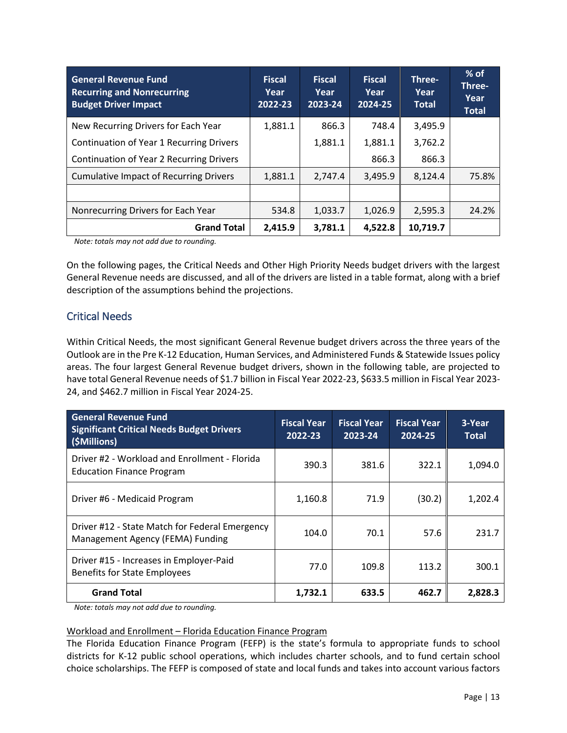| <b>General Revenue Fund</b><br><b>Recurring and Nonrecurring</b><br><b>Budget Driver Impact</b> | <b>Fiscal</b><br>Year<br>2022-23 | <b>Fiscal</b><br>Year<br>2023-24 | <b>Fiscal</b><br>Year<br>2024-25 | Three-<br>Year<br><b>Total</b> | $%$ of<br>Three-<br>Year<br><b>Total</b> |
|-------------------------------------------------------------------------------------------------|----------------------------------|----------------------------------|----------------------------------|--------------------------------|------------------------------------------|
| New Recurring Drivers for Each Year                                                             | 1,881.1                          | 866.3                            | 748.4                            | 3,495.9                        |                                          |
| Continuation of Year 1 Recurring Drivers                                                        |                                  | 1,881.1                          | 1,881.1                          | 3,762.2                        |                                          |
| <b>Continuation of Year 2 Recurring Drivers</b>                                                 |                                  |                                  | 866.3                            | 866.3                          |                                          |
| <b>Cumulative Impact of Recurring Drivers</b>                                                   | 1,881.1                          | 2,747.4                          | 3,495.9                          | 8,124.4                        | 75.8%                                    |
|                                                                                                 |                                  |                                  |                                  |                                |                                          |
| Nonrecurring Drivers for Each Year                                                              | 534.8                            | 1,033.7                          | 1,026.9                          | 2,595.3                        | 24.2%                                    |
| <b>Grand Total</b>                                                                              | 2,415.9                          | 3,781.1                          | 4,522.8                          | 10,719.7                       |                                          |

 *Note: totals may not add due to rounding.*

On the following pages, the Critical Needs and Other High Priority Needs budget drivers with the largest General Revenue needs are discussed, and all of the drivers are listed in a table format, along with a brief description of the assumptions behind the projections.

#### <span id="page-12-0"></span>Critical Needs

Within Critical Needs, the most significant General Revenue budget drivers across the three years of the Outlook are in the Pre K-12 Education, Human Services, and Administered Funds & Statewide Issues policy areas. The four largest General Revenue budget drivers, shown in the following table, are projected to have total General Revenue needs of \$1.7 billion in Fiscal Year 2022-23, \$633.5 million in Fiscal Year 2023- 24, and \$462.7 million in Fiscal Year 2024-25.

| <b>General Revenue Fund</b><br><b>Significant Critical Needs Budget Drivers</b><br>(\$Millions) | <b>Fiscal Year</b><br>2022-23 | <b>Fiscal Year</b><br>2023-24 | <b>Fiscal Year</b><br>2024-25 | 3-Year<br><b>Total</b> |
|-------------------------------------------------------------------------------------------------|-------------------------------|-------------------------------|-------------------------------|------------------------|
| Driver #2 - Workload and Enrollment - Florida<br><b>Education Finance Program</b>               | 390.3                         | 381.6                         | 322.1                         | 1,094.0                |
| Driver #6 - Medicaid Program                                                                    | 1,160.8                       | 71.9                          | (30.2)                        | 1,202.4                |
| Driver #12 - State Match for Federal Emergency<br>Management Agency (FEMA) Funding              | 104.0                         | 70.1                          | 57.6                          | 231.7                  |
| Driver #15 - Increases in Employer-Paid<br><b>Benefits for State Employees</b>                  | 77.0                          | 109.8                         | 113.2                         | 300.1                  |
| <b>Grand Total</b>                                                                              | 1,732.1                       | 633.5                         | 462.7                         | 2,828.3                |

 *Note: totals may not add due to rounding.*

#### Workload and Enrollment – Florida Education Finance Program

The Florida Education Finance Program (FEFP) is the state's formula to appropriate funds to school districts for K-12 public school operations, which includes charter schools, and to fund certain school choice scholarships. The FEFP is composed of state and local funds and takes into account various factors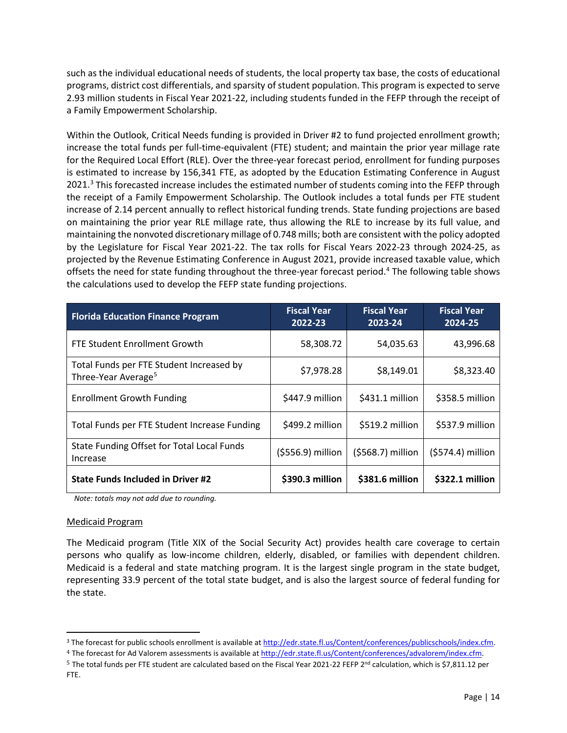such as the individual educational needs of students, the local property tax base, the costs of educational programs, district cost differentials, and sparsity of student population. This program is expected to serve 2.93 million students in Fiscal Year 2021-22, including students funded in the FEFP through the receipt of a Family Empowerment Scholarship.

Within the Outlook, Critical Needs funding is provided in Driver #2 to fund projected enrollment growth; increase the total funds per full-time-equivalent (FTE) student; and maintain the prior year millage rate for the Required Local Effort (RLE). Over the three-year forecast period, enrollment for funding purposes is estimated to increase by 156,341 FTE, as adopted by the Education Estimating Conference in August 2021.<sup>[3](#page-13-0)</sup> This forecasted increase includes the estimated number of students coming into the FEFP through the receipt of a Family Empowerment Scholarship. The Outlook includes a total funds per FTE student increase of 2.14 percent annually to reflect historical funding trends. State funding projections are based on maintaining the prior year RLE millage rate, thus allowing the RLE to increase by its full value, and maintaining the nonvoted discretionary millage of 0.748 mills; both are consistent with the policy adopted by the Legislature for Fiscal Year 2021-22. The tax rolls for Fiscal Years 2022-23 through 2024-25, as projected by the Revenue Estimating Conference in August 2021, provide increased taxable value, which offsets the need for state funding throughout the three-year forecast period.<sup>[4](#page-13-1)</sup> The following table shows the calculations used to develop the FEFP state funding projections.

| <b>Florida Education Finance Program</b>                                    | <b>Fiscal Year</b><br>2022-23 | <b>Fiscal Year</b><br>2023-24 | <b>Fiscal Year</b><br>2024-25 |
|-----------------------------------------------------------------------------|-------------------------------|-------------------------------|-------------------------------|
| <b>FTE Student Enrollment Growth</b>                                        | 58,308.72                     | 54,035.63                     | 43,996.68                     |
| Total Funds per FTE Student Increased by<br>Three-Year Average <sup>5</sup> | \$7,978.28                    | \$8,149.01                    | \$8,323.40                    |
| <b>Enrollment Growth Funding</b>                                            | \$447.9 million               | \$431.1 million               | \$358.5 million               |
| Total Funds per FTE Student Increase Funding                                | \$499.2 million               | \$519.2 million               | \$537.9 million               |
| State Funding Offset for Total Local Funds<br>Increase                      | $(5556.9)$ million            | (\$568.7) million             | (\$574.4) million             |
| <b>State Funds Included in Driver #2</b>                                    | \$390.3 million               | \$381.6 million               | \$322.1 million               |

 *Note: totals may not add due to rounding.*

#### Medicaid Program

The Medicaid program (Title XIX of the Social Security Act) provides health care coverage to certain persons who qualify as low-income children, elderly, disabled, or families with dependent children. Medicaid is a federal and state matching program. It is the largest single program in the state budget, representing 33.9 percent of the total state budget, and is also the largest source of federal funding for the state.

<span id="page-13-0"></span> <sup>3</sup> The forecast for public schools enrollment is available a[t http://edr.state.fl.us/Content/conferences/publicschools/index.cfm.](http://edr.state.fl.us/Content/conferences/publicschools/index.cfm)

<span id="page-13-1"></span><sup>&</sup>lt;sup>4</sup> The forecast for Ad Valorem assessments is available at http://edr.state.fl.us/Content/conferences/advalorem/index.cfm.

<span id="page-13-2"></span> $5$  The total funds per FTE student are calculated based on the Fiscal Year 2021-22 FEFP 2<sup>nd</sup> calculation, which is \$7,811.12 per FTE.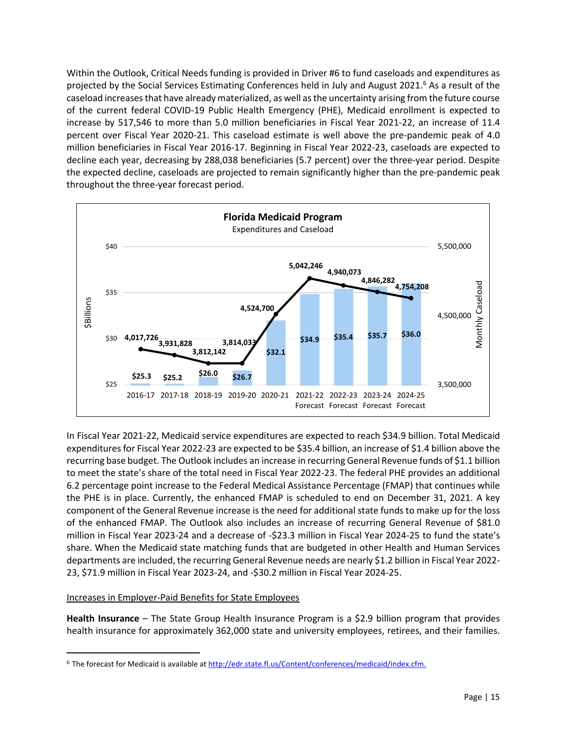Within the Outlook, Critical Needs funding is provided in Driver #6 to fund caseloads and expenditures as projected by the Social Services Estimating Conferences held in July and August 2021. [6](#page-14-0) As a result of the caseload increases that have already materialized, as well as the uncertainty arising from the future course of the current federal COVID-19 Public Health Emergency (PHE), Medicaid enrollment is expected to increase by 517,546 to more than 5.0 million beneficiaries in Fiscal Year 2021-22, an increase of 11.4 percent over Fiscal Year 2020-21. This caseload estimate is well above the pre-pandemic peak of 4.0 million beneficiaries in Fiscal Year 2016-17. Beginning in Fiscal Year 2022-23, caseloads are expected to decline each year, decreasing by 288,038 beneficiaries (5.7 percent) over the three-year period. Despite the expected decline, caseloads are projected to remain significantly higher than the pre-pandemic peak throughout the three-year forecast period.



In Fiscal Year 2021-22, Medicaid service expenditures are expected to reach \$34.9 billion. Total Medicaid expenditures for Fiscal Year 2022-23 are expected to be \$35.4 billion, an increase of \$1.4 billion above the recurring base budget. The Outlook includes an increase in recurring General Revenue funds of \$1.1 billion to meet the state's share of the total need in Fiscal Year 2022-23. The federal PHE provides an additional 6.2 percentage point increase to the Federal Medical Assistance Percentage (FMAP) that continues while the PHE is in place. Currently, the enhanced FMAP is scheduled to end on December 31, 2021. A key component of the General Revenue increase is the need for additional state funds to make up for the loss of the enhanced FMAP. The Outlook also includes an increase of recurring General Revenue of \$81.0 million in Fiscal Year 2023-24 and a decrease of -\$23.3 million in Fiscal Year 2024-25 to fund the state's share. When the Medicaid state matching funds that are budgeted in other Health and Human Services departments are included, the recurring General Revenue needs are nearly \$1.2 billion in Fiscal Year 2022- 23, \$71.9 million in Fiscal Year 2023-24, and -\$30.2 million in Fiscal Year 2024-25.

#### Increases in Employer-Paid Benefits for State Employees

l

**Health Insurance** – The State Group Health Insurance Program is a \$2.9 billion program that provides health insurance for approximately 362,000 state and university employees, retirees, and their families.

<span id="page-14-0"></span><sup>6</sup> The forecast for Medicaid is available a[t http://edr.state.fl.us/Content/conferences/medicaid/index.cfm.](http://edr.state.fl.us/Content/conferences/medicaid/index.cfm)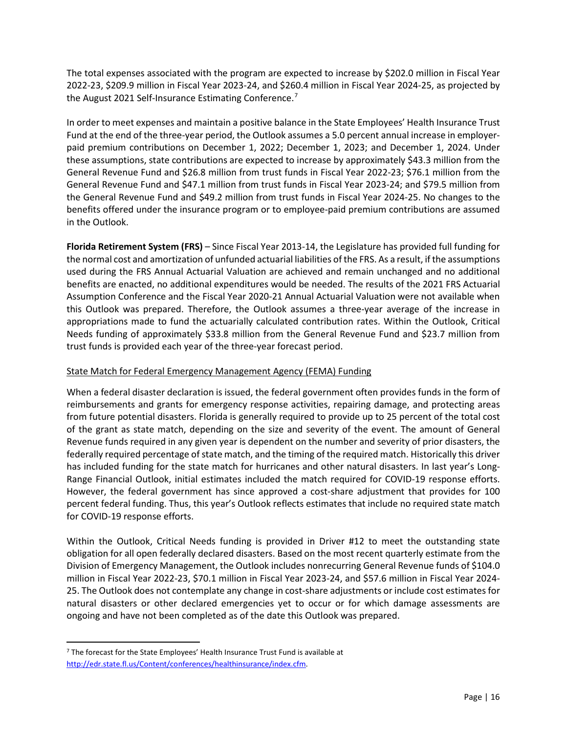The total expenses associated with the program are expected to increase by \$202.0 million in Fiscal Year 2022-23, \$209.9 million in Fiscal Year 2023-24, and \$260.4 million in Fiscal Year 2024-25, as projected by the August 2021 Self-Insurance Estimating Conference.<sup>[7](#page-15-0)</sup>

In order to meet expenses and maintain a positive balance in the State Employees' Health Insurance Trust Fund at the end of the three-year period, the Outlook assumes a 5.0 percent annual increase in employerpaid premium contributions on December 1, 2022; December 1, 2023; and December 1, 2024. Under these assumptions, state contributions are expected to increase by approximately \$43.3 million from the General Revenue Fund and \$26.8 million from trust funds in Fiscal Year 2022-23; \$76.1 million from the General Revenue Fund and \$47.1 million from trust funds in Fiscal Year 2023-24; and \$79.5 million from the General Revenue Fund and \$49.2 million from trust funds in Fiscal Year 2024-25. No changes to the benefits offered under the insurance program or to employee-paid premium contributions are assumed in the Outlook.

**Florida Retirement System (FRS)** – Since Fiscal Year 2013-14, the Legislature has provided full funding for the normal cost and amortization of unfunded actuarial liabilities of the FRS. As a result, if the assumptions used during the FRS Annual Actuarial Valuation are achieved and remain unchanged and no additional benefits are enacted, no additional expenditures would be needed. The results of the 2021 FRS Actuarial Assumption Conference and the Fiscal Year 2020-21 Annual Actuarial Valuation were not available when this Outlook was prepared. Therefore, the Outlook assumes a three-year average of the increase in appropriations made to fund the actuarially calculated contribution rates. Within the Outlook, Critical Needs funding of approximately \$33.8 million from the General Revenue Fund and \$23.7 million from trust funds is provided each year of the three-year forecast period.

#### State Match for Federal Emergency Management Agency (FEMA) Funding

When a federal disaster declaration is issued, the federal government often provides funds in the form of reimbursements and grants for emergency response activities, repairing damage, and protecting areas from future potential disasters. Florida is generally required to provide up to 25 percent of the total cost of the grant as state match, depending on the size and severity of the event. The amount of General Revenue funds required in any given year is dependent on the number and severity of prior disasters, the federally required percentage of state match, and the timing of the required match. Historically this driver has included funding for the state match for hurricanes and other natural disasters. In last year's Long-Range Financial Outlook, initial estimates included the match required for COVID-19 response efforts. However, the federal government has since approved a cost-share adjustment that provides for 100 percent federal funding. Thus, this year's Outlook reflects estimates that include no required state match for COVID-19 response efforts.

Within the Outlook, Critical Needs funding is provided in Driver #12 to meet the outstanding state obligation for all open federally declared disasters. Based on the most recent quarterly estimate from the Division of Emergency Management, the Outlook includes nonrecurring General Revenue funds of \$104.0 million in Fiscal Year 2022-23, \$70.1 million in Fiscal Year 2023-24, and \$57.6 million in Fiscal Year 2024- 25. The Outlook does not contemplate any change in cost-share adjustments or include cost estimates for natural disasters or other declared emergencies yet to occur or for which damage assessments are ongoing and have not been completed as of the date this Outlook was prepared.

<span id="page-15-0"></span> <sup>7</sup> The forecast for the State Employees' Health Insurance Trust Fund is available at [http://edr.state.fl.us/Content/conferences/healthinsurance/index.cfm.](http://edr.state.fl.us/Content/conferences/healthinsurance/index.cfm)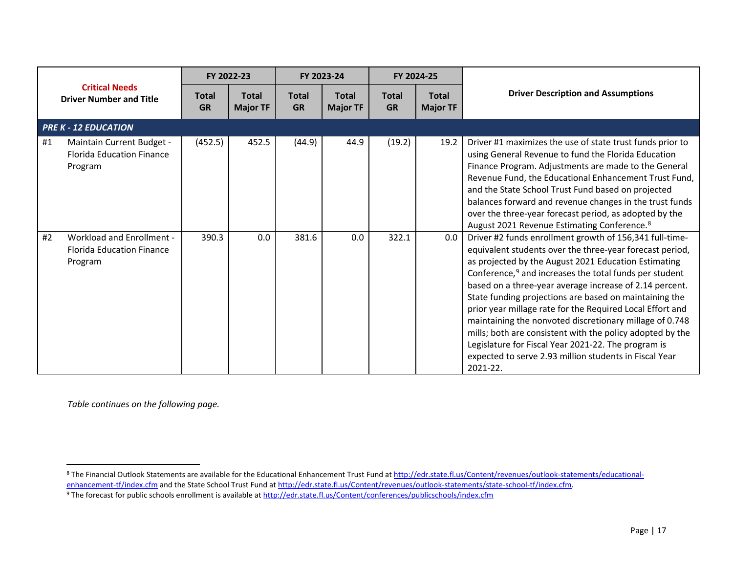<span id="page-16-1"></span><span id="page-16-0"></span>

|                                                         |                                                                          |                           | FY 2022-23                      |                           | FY 2023-24                      |                           | FY 2024-25                      |                                                                                                                                                                                                                                                                                                                                                                                                                                                                                                                                                                                                                                                                                          |
|---------------------------------------------------------|--------------------------------------------------------------------------|---------------------------|---------------------------------|---------------------------|---------------------------------|---------------------------|---------------------------------|------------------------------------------------------------------------------------------------------------------------------------------------------------------------------------------------------------------------------------------------------------------------------------------------------------------------------------------------------------------------------------------------------------------------------------------------------------------------------------------------------------------------------------------------------------------------------------------------------------------------------------------------------------------------------------------|
| <b>Critical Needs</b><br><b>Driver Number and Title</b> |                                                                          | <b>Total</b><br><b>GR</b> | <b>Total</b><br><b>Major TF</b> | <b>Total</b><br><b>GR</b> | <b>Total</b><br><b>Major TF</b> | <b>Total</b><br><b>GR</b> | <b>Total</b><br><b>Major TF</b> | <b>Driver Description and Assumptions</b>                                                                                                                                                                                                                                                                                                                                                                                                                                                                                                                                                                                                                                                |
|                                                         | <b>PRE K - 12 EDUCATION</b>                                              |                           |                                 |                           |                                 |                           |                                 |                                                                                                                                                                                                                                                                                                                                                                                                                                                                                                                                                                                                                                                                                          |
| #1                                                      | Maintain Current Budget -<br><b>Florida Education Finance</b><br>Program | (452.5)                   | 452.5                           | (44.9)                    | 44.9                            | (19.2)                    | 19.2                            | Driver #1 maximizes the use of state trust funds prior to<br>using General Revenue to fund the Florida Education<br>Finance Program. Adjustments are made to the General<br>Revenue Fund, the Educational Enhancement Trust Fund,<br>and the State School Trust Fund based on projected<br>balances forward and revenue changes in the trust funds<br>over the three-year forecast period, as adopted by the<br>August 2021 Revenue Estimating Conference. <sup>8</sup>                                                                                                                                                                                                                  |
| #2                                                      | Workload and Enrollment -<br><b>Florida Education Finance</b><br>Program | 390.3                     | 0.0                             | 381.6                     | 0.0                             | 322.1                     | 0.0                             | Driver #2 funds enrollment growth of 156,341 full-time-<br>equivalent students over the three-year forecast period,<br>as projected by the August 2021 Education Estimating<br>Conference, <sup>9</sup> and increases the total funds per student<br>based on a three-year average increase of 2.14 percent.<br>State funding projections are based on maintaining the<br>prior year millage rate for the Required Local Effort and<br>maintaining the nonvoted discretionary millage of 0.748<br>mills; both are consistent with the policy adopted by the<br>Legislature for Fiscal Year 2021-22. The program is<br>expected to serve 2.93 million students in Fiscal Year<br>2021-22. |

*Table continues on the following page.*

<sup>8</sup> The Financial Outlook Statements are available for the Educational Enhancement Trust Fund a[t http://edr.state.fl.us/Content/revenues/outlook-statements/educational](http://edr.state.fl.us/Content/revenues/outlook-statements/educational-enhancement-tf/index.cfm)[enhancement-tf/index.cfm](http://edr.state.fl.us/Content/revenues/outlook-statements/educational-enhancement-tf/index.cfm) and the State School Trust Fund at [http://edr.state.fl.us/Content/revenues/outlook-statements/state-school-tf/index.cfm.](http://edr.state.fl.us/Content/revenues/outlook-statements/state-school-tf/index.cfm)

<sup>&</sup>lt;sup>9</sup> The forecast for public schools enrollment is available a[t http://edr.state.fl.us/Content/conferences/publicschools/index.cfm](http://edr.state.fl.us/Content/conferences/publicschools/index.cfm)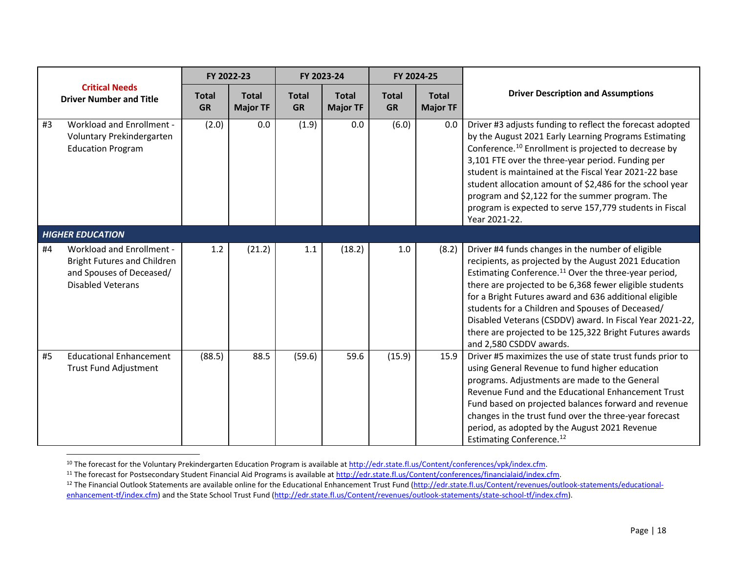<span id="page-17-2"></span><span id="page-17-1"></span><span id="page-17-0"></span>

|    |                                                                                                                                | FY 2022-23                |                                 | FY 2023-24                |                                 |                           | FY 2024-25                      |                                                                                                                                                                                                                                                                                                                                                                                                                                                                                                           |
|----|--------------------------------------------------------------------------------------------------------------------------------|---------------------------|---------------------------------|---------------------------|---------------------------------|---------------------------|---------------------------------|-----------------------------------------------------------------------------------------------------------------------------------------------------------------------------------------------------------------------------------------------------------------------------------------------------------------------------------------------------------------------------------------------------------------------------------------------------------------------------------------------------------|
|    | <b>Critical Needs</b><br><b>Driver Number and Title</b>                                                                        | <b>Total</b><br><b>GR</b> | <b>Total</b><br><b>Major TF</b> | <b>Total</b><br><b>GR</b> | <b>Total</b><br><b>Major TF</b> | <b>Total</b><br><b>GR</b> | <b>Total</b><br><b>Major TF</b> | <b>Driver Description and Assumptions</b>                                                                                                                                                                                                                                                                                                                                                                                                                                                                 |
| #3 | Workload and Enrollment -<br>Voluntary Prekindergarten<br><b>Education Program</b>                                             | (2.0)                     | 0.0                             | (1.9)                     | 0.0                             | (6.0)                     | 0.0                             | Driver #3 adjusts funding to reflect the forecast adopted<br>by the August 2021 Early Learning Programs Estimating<br>Conference. <sup>10</sup> Enrollment is projected to decrease by<br>3,101 FTE over the three-year period. Funding per<br>student is maintained at the Fiscal Year 2021-22 base<br>student allocation amount of \$2,486 for the school year<br>program and \$2,122 for the summer program. The<br>program is expected to serve 157,779 students in Fiscal<br>Year 2021-22.           |
|    | <b>HIGHER EDUCATION</b>                                                                                                        |                           |                                 |                           |                                 |                           |                                 |                                                                                                                                                                                                                                                                                                                                                                                                                                                                                                           |
| #4 | <b>Workload and Enrollment -</b><br><b>Bright Futures and Children</b><br>and Spouses of Deceased/<br><b>Disabled Veterans</b> | 1.2                       | (21.2)                          | 1.1                       | (18.2)                          | 1.0                       | (8.2)                           | Driver #4 funds changes in the number of eligible<br>recipients, as projected by the August 2021 Education<br>Estimating Conference. <sup>11</sup> Over the three-year period,<br>there are projected to be 6,368 fewer eligible students<br>for a Bright Futures award and 636 additional eligible<br>students for a Children and Spouses of Deceased/<br>Disabled Veterans (CSDDV) award. In Fiscal Year 2021-22,<br>there are projected to be 125,322 Bright Futures awards<br>and 2,580 CSDDV awards. |
| #5 | <b>Educational Enhancement</b><br><b>Trust Fund Adjustment</b>                                                                 | (88.5)                    | 88.5                            | (59.6)                    | 59.6                            | (15.9)                    | 15.9                            | Driver #5 maximizes the use of state trust funds prior to<br>using General Revenue to fund higher education<br>programs. Adjustments are made to the General<br>Revenue Fund and the Educational Enhancement Trust<br>Fund based on projected balances forward and revenue<br>changes in the trust fund over the three-year forecast<br>period, as adopted by the August 2021 Revenue<br>Estimating Conference. <sup>12</sup>                                                                             |

<sup>&</sup>lt;sup>10</sup> The forecast for the Voluntary Prekindergarten Education Program is available at http://edr.state.fl.us/Content/conferences/vpk/index.cfm.<br><sup>11</sup> The forecast for Postsecondary Student Financial Aid Programs is availabl [enhancement-tf/index.cfm\)](http://edr.state.fl.us/Content/revenues/outlook-statements/educational-enhancement-tf/index.cfm) and the State School Trust Fund [\(http://edr.state.fl.us/Content/revenues/outlook-statements/state-school-tf/index.cfm\)](http://edr.state.fl.us/Content/revenues/outlook-statements/state-school-tf/index.cfm).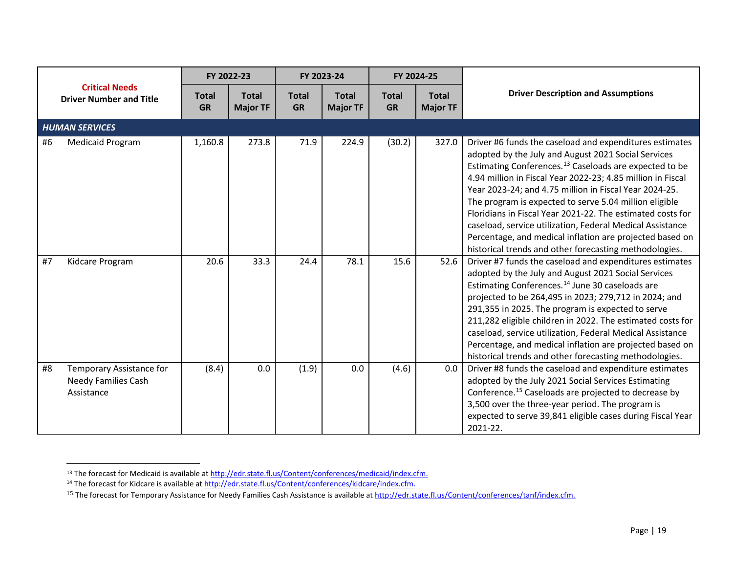<span id="page-18-2"></span><span id="page-18-1"></span><span id="page-18-0"></span>

|                                                         |                                                                      |                           | FY 2022-23                      |                           | FY 2023-24                      |                           | FY 2024-25                      |                                                                                                                                                                                                                                                                                                                                                                                                                                                                                                                                                                                                                          |
|---------------------------------------------------------|----------------------------------------------------------------------|---------------------------|---------------------------------|---------------------------|---------------------------------|---------------------------|---------------------------------|--------------------------------------------------------------------------------------------------------------------------------------------------------------------------------------------------------------------------------------------------------------------------------------------------------------------------------------------------------------------------------------------------------------------------------------------------------------------------------------------------------------------------------------------------------------------------------------------------------------------------|
| <b>Critical Needs</b><br><b>Driver Number and Title</b> |                                                                      | <b>Total</b><br><b>GR</b> | <b>Total</b><br><b>Major TF</b> | <b>Total</b><br><b>GR</b> | <b>Total</b><br><b>Major TF</b> | <b>Total</b><br><b>GR</b> | <b>Total</b><br><b>Major TF</b> | <b>Driver Description and Assumptions</b>                                                                                                                                                                                                                                                                                                                                                                                                                                                                                                                                                                                |
|                                                         | <b>HUMAN SERVICES</b>                                                |                           |                                 |                           |                                 |                           |                                 |                                                                                                                                                                                                                                                                                                                                                                                                                                                                                                                                                                                                                          |
| #6                                                      | <b>Medicaid Program</b>                                              | 1,160.8                   | 273.8                           | 71.9                      | 224.9                           | (30.2)                    | 327.0                           | Driver #6 funds the caseload and expenditures estimates<br>adopted by the July and August 2021 Social Services<br>Estimating Conferences. <sup>13</sup> Caseloads are expected to be<br>4.94 million in Fiscal Year 2022-23; 4.85 million in Fiscal<br>Year 2023-24; and 4.75 million in Fiscal Year 2024-25.<br>The program is expected to serve 5.04 million eligible<br>Floridians in Fiscal Year 2021-22. The estimated costs for<br>caseload, service utilization, Federal Medical Assistance<br>Percentage, and medical inflation are projected based on<br>historical trends and other forecasting methodologies. |
| #7                                                      | Kidcare Program                                                      | 20.6                      | 33.3                            | 24.4                      | 78.1                            | 15.6                      | 52.6                            | Driver #7 funds the caseload and expenditures estimates<br>adopted by the July and August 2021 Social Services<br>Estimating Conferences. <sup>14</sup> June 30 caseloads are<br>projected to be 264,495 in 2023; 279,712 in 2024; and<br>291,355 in 2025. The program is expected to serve<br>211,282 eligible children in 2022. The estimated costs for<br>caseload, service utilization, Federal Medical Assistance<br>Percentage, and medical inflation are projected based on<br>historical trends and other forecasting methodologies.                                                                             |
| #8                                                      | Temporary Assistance for<br><b>Needy Families Cash</b><br>Assistance | (8.4)                     | 0.0                             | (1.9)                     | 0.0                             | (4.6)                     | 0.0                             | Driver #8 funds the caseload and expenditure estimates<br>adopted by the July 2021 Social Services Estimating<br>Conference. <sup>15</sup> Caseloads are projected to decrease by<br>3,500 over the three-year period. The program is<br>expected to serve 39,841 eligible cases during Fiscal Year<br>2021-22.                                                                                                                                                                                                                                                                                                          |

<sup>&</sup>lt;sup>13</sup> The forecast for Medicaid is available a[t http://edr.state.fl.us/Content/conferences/medicaid/index.cfm.](http://edr.state.fl.us/Content/conferences/medicaid/index.cfm)

<sup>&</sup>lt;sup>14</sup> The forecast for Kidcare is available at [http://edr.state.fl.us/Content/conferences/kidcare/index.cfm.](http://edr.state.fl.us/Content/conferences/kidcare/index.cfm)

<sup>&</sup>lt;sup>15</sup> The forecast for Temporary Assistance for Needy Families Cash Assistance is available at [http://edr.state.fl.us/Content/conferences/tanf/index.cfm.](http://edr.state.fl.us/Content/conferences/tanf/index.cfm)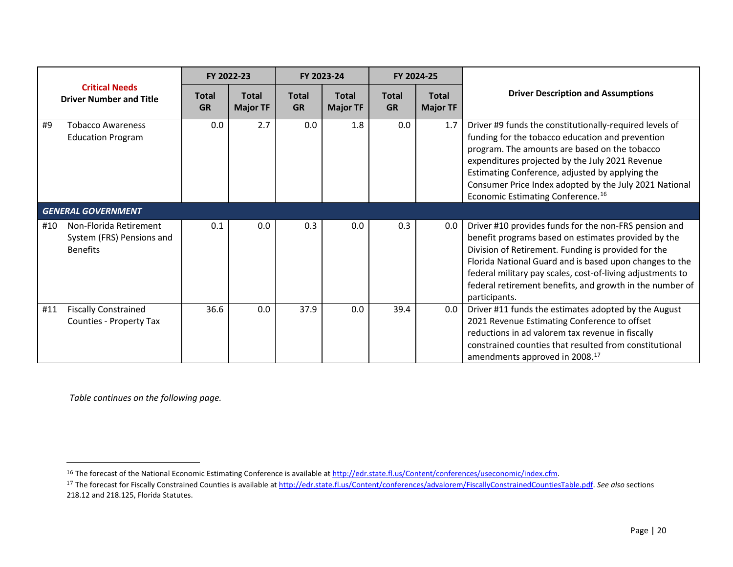<span id="page-19-1"></span><span id="page-19-0"></span>

|     |                                                                        |                           | FY 2022-23                      |                           | FY 2023-24                      |                           | FY 2024-25                      |                                                                                                                                                                                                                                                                                                                                                                               |
|-----|------------------------------------------------------------------------|---------------------------|---------------------------------|---------------------------|---------------------------------|---------------------------|---------------------------------|-------------------------------------------------------------------------------------------------------------------------------------------------------------------------------------------------------------------------------------------------------------------------------------------------------------------------------------------------------------------------------|
|     | <b>Critical Needs</b><br><b>Driver Number and Title</b>                | <b>Total</b><br><b>GR</b> | <b>Total</b><br><b>Major TF</b> | <b>Total</b><br><b>GR</b> | <b>Total</b><br><b>Major TF</b> | <b>Total</b><br><b>GR</b> | <b>Total</b><br><b>Major TF</b> | <b>Driver Description and Assumptions</b>                                                                                                                                                                                                                                                                                                                                     |
| #9  | <b>Tobacco Awareness</b><br><b>Education Program</b>                   | 0.0                       | 2.7                             | 0.0                       | 1.8                             | 0.0                       | 1.7                             | Driver #9 funds the constitutionally-required levels of<br>funding for the tobacco education and prevention<br>program. The amounts are based on the tobacco<br>expenditures projected by the July 2021 Revenue<br>Estimating Conference, adjusted by applying the<br>Consumer Price Index adopted by the July 2021 National<br>Economic Estimating Conference. <sup>16</sup> |
|     | <b>GENERAL GOVERNMENT</b>                                              |                           |                                 |                           |                                 |                           |                                 |                                                                                                                                                                                                                                                                                                                                                                               |
| #10 | Non-Florida Retirement<br>System (FRS) Pensions and<br><b>Benefits</b> | 0.1                       | 0.0                             | 0.3                       | 0.0                             | 0.3                       | 0.0                             | Driver #10 provides funds for the non-FRS pension and<br>benefit programs based on estimates provided by the<br>Division of Retirement. Funding is provided for the<br>Florida National Guard and is based upon changes to the<br>federal military pay scales, cost-of-living adjustments to<br>federal retirement benefits, and growth in the number of<br>participants.     |
| #11 | <b>Fiscally Constrained</b><br>Counties - Property Tax                 | 36.6                      | 0.0                             | 37.9                      | 0.0                             | 39.4                      | 0.0                             | Driver #11 funds the estimates adopted by the August<br>2021 Revenue Estimating Conference to offset<br>reductions in ad valorem tax revenue in fiscally<br>constrained counties that resulted from constitutional<br>amendments approved in 2008. <sup>17</sup>                                                                                                              |

*Table continues on the following page.*

l

<sup>&</sup>lt;sup>16</sup> The forecast of the National Economic Estimating Conference is available at http://edr.state.fl.us/Content/conferences/useconomic/index.cfm.

<sup>17</sup> The forecast for Fiscally Constrained Counties is available at [http://edr.state.fl.us/Content/conferences/advalorem/FiscallyConstrainedCountiesTable.pdf.](http://edr.state.fl.us/Content/conferences/advalorem/FiscallyConstrainedCountiesTable.pdf) *See also* sections 218.12 and 218.125, Florida Statutes.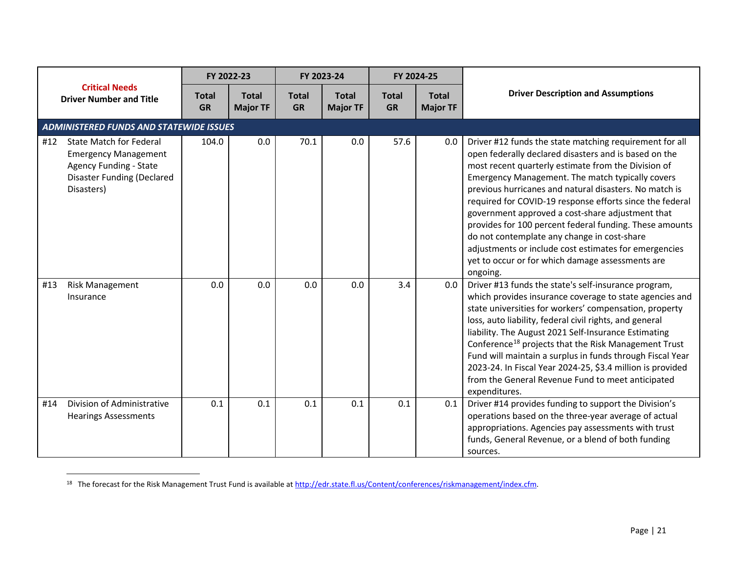<span id="page-20-0"></span>

|     |                                                                                                                                                   | FY 2022-23                |                                 |                           | FY 2023-24                      |                           | FY 2024-25                      |                                                                                                                                                                                                                                                                                                                                                                                                                                                                                                                                                                                                                                          |
|-----|---------------------------------------------------------------------------------------------------------------------------------------------------|---------------------------|---------------------------------|---------------------------|---------------------------------|---------------------------|---------------------------------|------------------------------------------------------------------------------------------------------------------------------------------------------------------------------------------------------------------------------------------------------------------------------------------------------------------------------------------------------------------------------------------------------------------------------------------------------------------------------------------------------------------------------------------------------------------------------------------------------------------------------------------|
|     | <b>Critical Needs</b><br><b>Driver Number and Title</b>                                                                                           | <b>Total</b><br><b>GR</b> | <b>Total</b><br><b>Major TF</b> | <b>Total</b><br><b>GR</b> | <b>Total</b><br><b>Major TF</b> | <b>Total</b><br><b>GR</b> | <b>Total</b><br><b>Major TF</b> | <b>Driver Description and Assumptions</b>                                                                                                                                                                                                                                                                                                                                                                                                                                                                                                                                                                                                |
|     | <b>ADMINISTERED FUNDS AND STATEWIDE ISSUES</b>                                                                                                    |                           |                                 |                           |                                 |                           |                                 |                                                                                                                                                                                                                                                                                                                                                                                                                                                                                                                                                                                                                                          |
| #12 | <b>State Match for Federal</b><br><b>Emergency Management</b><br><b>Agency Funding - State</b><br><b>Disaster Funding (Declared</b><br>Disasters) | 104.0                     | 0.0                             | 70.1                      | 0.0                             | 57.6                      | 0.0                             | Driver #12 funds the state matching requirement for all<br>open federally declared disasters and is based on the<br>most recent quarterly estimate from the Division of<br>Emergency Management. The match typically covers<br>previous hurricanes and natural disasters. No match is<br>required for COVID-19 response efforts since the federal<br>government approved a cost-share adjustment that<br>provides for 100 percent federal funding. These amounts<br>do not contemplate any change in cost-share<br>adjustments or include cost estimates for emergencies<br>yet to occur or for which damage assessments are<br>ongoing. |
| #13 | <b>Risk Management</b><br>Insurance                                                                                                               | 0.0                       | 0.0                             | 0.0                       | 0.0                             | 3.4                       | 0.0                             | Driver #13 funds the state's self-insurance program,<br>which provides insurance coverage to state agencies and<br>state universities for workers' compensation, property<br>loss, auto liability, federal civil rights, and general<br>liability. The August 2021 Self-Insurance Estimating<br>Conference <sup>18</sup> projects that the Risk Management Trust<br>Fund will maintain a surplus in funds through Fiscal Year<br>2023-24. In Fiscal Year 2024-25, \$3.4 million is provided<br>from the General Revenue Fund to meet anticipated<br>expenditures.                                                                        |
| #14 | Division of Administrative<br><b>Hearings Assessments</b>                                                                                         | 0.1                       | 0.1                             | 0.1                       | 0.1                             | 0.1                       | 0.1                             | Driver #14 provides funding to support the Division's<br>operations based on the three-year average of actual<br>appropriations. Agencies pay assessments with trust<br>funds, General Revenue, or a blend of both funding<br>sources.                                                                                                                                                                                                                                                                                                                                                                                                   |

<sup>&</sup>lt;sup>18</sup> The forecast for the Risk Management Trust Fund is available at [http://edr.state.fl.us/Content/conferences/riskmanagement/index.cfm.](http://edr.state.fl.us/Content/conferences/riskmanagement/index.cfm)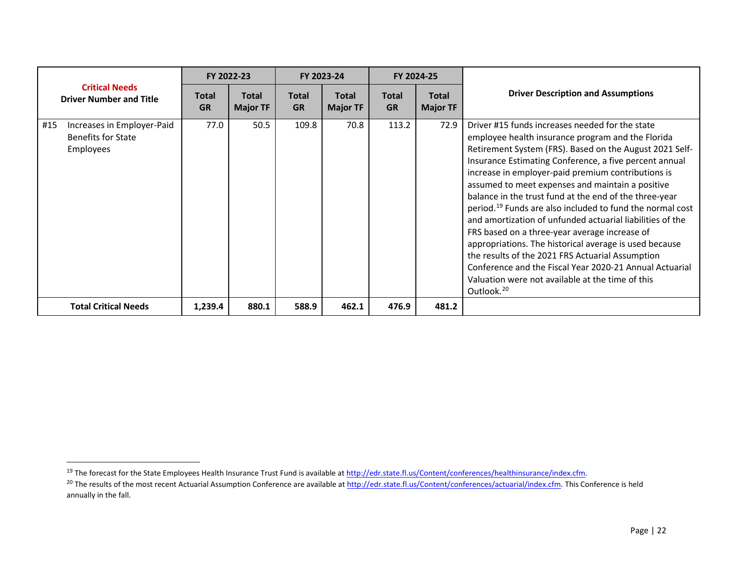<span id="page-21-1"></span><span id="page-21-0"></span>

|                                                                      |                    | FY 2022-23                      |                           | FY 2023-24                      |                           | FY 2024-25                      |                                                                                                                                                                                                                                                                                                                                                                                                                                                                                                                                                                                                                                                                                                                                                                                                                                             |
|----------------------------------------------------------------------|--------------------|---------------------------------|---------------------------|---------------------------------|---------------------------|---------------------------------|---------------------------------------------------------------------------------------------------------------------------------------------------------------------------------------------------------------------------------------------------------------------------------------------------------------------------------------------------------------------------------------------------------------------------------------------------------------------------------------------------------------------------------------------------------------------------------------------------------------------------------------------------------------------------------------------------------------------------------------------------------------------------------------------------------------------------------------------|
| <b>Critical Needs</b><br><b>Driver Number and Title</b>              | Total<br><b>GR</b> | <b>Total</b><br><b>Major TF</b> | <b>Total</b><br><b>GR</b> | <b>Total</b><br><b>Major TF</b> | <b>Total</b><br><b>GR</b> | <b>Total</b><br><b>Major TF</b> | <b>Driver Description and Assumptions</b>                                                                                                                                                                                                                                                                                                                                                                                                                                                                                                                                                                                                                                                                                                                                                                                                   |
| #15<br>Increases in Employer-Paid<br>Benefits for State<br>Employees | 77.0               | 50.5                            | 109.8                     | 70.8                            | 113.2                     | 72.9                            | Driver #15 funds increases needed for the state<br>employee health insurance program and the Florida<br>Retirement System (FRS). Based on the August 2021 Self-<br>Insurance Estimating Conference, a five percent annual<br>increase in employer-paid premium contributions is<br>assumed to meet expenses and maintain a positive<br>balance in the trust fund at the end of the three-year<br>period. <sup>19</sup> Funds are also included to fund the normal cost<br>and amortization of unfunded actuarial liabilities of the<br>FRS based on a three-year average increase of<br>appropriations. The historical average is used because<br>the results of the 2021 FRS Actuarial Assumption<br>Conference and the Fiscal Year 2020-21 Annual Actuarial<br>Valuation were not available at the time of this<br>Outlook. <sup>20</sup> |
| <b>Total Critical Needs</b>                                          | 1,239.4            | 880.1                           | 588.9                     | 462.1                           | 476.9                     | 481.2                           |                                                                                                                                                                                                                                                                                                                                                                                                                                                                                                                                                                                                                                                                                                                                                                                                                                             |

<sup>&</sup>lt;sup>19</sup> The forecast for the State Employees Health Insurance Trust Fund is available at http://edr.state.fl.us/Content/conferences/healthinsurance/index.cfm.<br><sup>20</sup> The results of the most recent Actuarial Assumption Conferenc annually in the fall.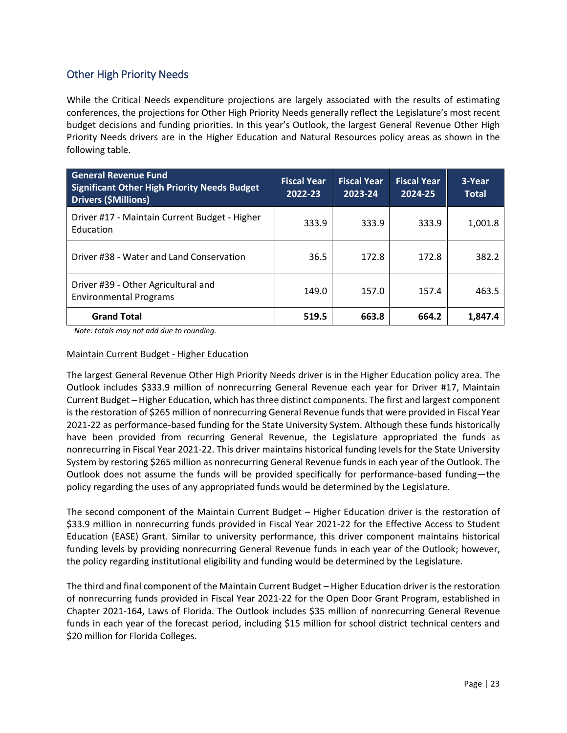## <span id="page-22-0"></span>Other High Priority Needs

While the Critical Needs expenditure projections are largely associated with the results of estimating conferences, the projections for Other High Priority Needs generally reflect the Legislature's most recent budget decisions and funding priorities. In this year's Outlook, the largest General Revenue Other High Priority Needs drivers are in the Higher Education and Natural Resources policy areas as shown in the following table.

| <b>General Revenue Fund</b><br><b>Significant Other High Priority Needs Budget</b><br><b>Drivers (\$Millions)</b> | <b>Fiscal Year</b><br>2022-23 | <b>Fiscal Year</b><br>2023-24 | <b>Fiscal Year</b><br>2024-25 | 3-Year<br><b>Total</b> |
|-------------------------------------------------------------------------------------------------------------------|-------------------------------|-------------------------------|-------------------------------|------------------------|
| Driver #17 - Maintain Current Budget - Higher<br>Education                                                        | 333.9                         | 333.9                         | 333.9                         | 1,001.8                |
| Driver #38 - Water and Land Conservation                                                                          | 36.5                          | 172.8                         | 172.8                         | 382.2                  |
| Driver #39 - Other Agricultural and<br><b>Environmental Programs</b>                                              | 149.0                         | 157.0                         | 157.4                         | 463.5                  |
| <b>Grand Total</b>                                                                                                | 519.5                         | 663.8                         | 664.2                         | 1.847.4                |

 *Note: totals may not add due to rounding.*

#### Maintain Current Budget - Higher Education

The largest General Revenue Other High Priority Needs driver is in the Higher Education policy area. The Outlook includes \$333.9 million of nonrecurring General Revenue each year for Driver #17, Maintain Current Budget – Higher Education, which has three distinct components. The first and largest component is the restoration of \$265 million of nonrecurring General Revenue funds that were provided in Fiscal Year 2021-22 as performance-based funding for the State University System. Although these funds historically have been provided from recurring General Revenue, the Legislature appropriated the funds as nonrecurring in Fiscal Year 2021-22. This driver maintains historical funding levels for the State University System by restoring \$265 million as nonrecurring General Revenue funds in each year of the Outlook. The Outlook does not assume the funds will be provided specifically for performance-based funding—the policy regarding the uses of any appropriated funds would be determined by the Legislature.

The second component of the Maintain Current Budget – Higher Education driver is the restoration of \$33.9 million in nonrecurring funds provided in Fiscal Year 2021-22 for the Effective Access to Student Education (EASE) Grant. Similar to university performance, this driver component maintains historical funding levels by providing nonrecurring General Revenue funds in each year of the Outlook; however, the policy regarding institutional eligibility and funding would be determined by the Legislature.

The third and final component of the Maintain Current Budget – Higher Education driver is the restoration of nonrecurring funds provided in Fiscal Year 2021-22 for the Open Door Grant Program, established in Chapter 2021-164, Laws of Florida. The Outlook includes \$35 million of nonrecurring General Revenue funds in each year of the forecast period, including \$15 million for school district technical centers and \$20 million for Florida Colleges.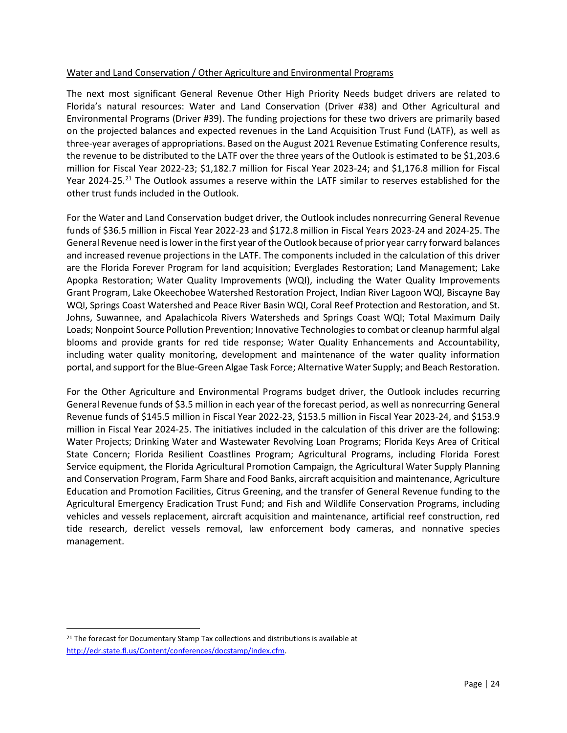#### Water and Land Conservation / Other Agriculture and Environmental Programs

The next most significant General Revenue Other High Priority Needs budget drivers are related to Florida's natural resources: Water and Land Conservation (Driver #38) and Other Agricultural and Environmental Programs (Driver #39). The funding projections for these two drivers are primarily based on the projected balances and expected revenues in the Land Acquisition Trust Fund (LATF), as well as three-year averages of appropriations. Based on the August 2021 Revenue Estimating Conference results, the revenue to be distributed to the LATF over the three years of the Outlook is estimated to be \$1,203.6 million for Fiscal Year 2022-23; \$1,182.7 million for Fiscal Year 2023-24; and \$1,176.8 million for Fiscal Year 2024-25.<sup>[21](#page-23-0)</sup> The Outlook assumes a reserve within the LATF similar to reserves established for the other trust funds included in the Outlook.

For the Water and Land Conservation budget driver, the Outlook includes nonrecurring General Revenue funds of \$36.5 million in Fiscal Year 2022-23 and \$172.8 million in Fiscal Years 2023-24 and 2024-25. The General Revenue need is lower in the first year of the Outlook because of prior year carry forward balances and increased revenue projections in the LATF. The components included in the calculation of this driver are the Florida Forever Program for land acquisition; Everglades Restoration; Land Management; Lake Apopka Restoration; Water Quality Improvements (WQI), including the Water Quality Improvements Grant Program, Lake Okeechobee Watershed Restoration Project, Indian River Lagoon WQI, Biscayne Bay WQI, Springs Coast Watershed and Peace River Basin WQI, Coral Reef Protection and Restoration, and St. Johns, Suwannee, and Apalachicola Rivers Watersheds and Springs Coast WQI; Total Maximum Daily Loads; Nonpoint Source Pollution Prevention; Innovative Technologies to combat or cleanup harmful algal blooms and provide grants for red tide response; Water Quality Enhancements and Accountability, including water quality monitoring, development and maintenance of the water quality information portal, and support for the Blue-Green Algae Task Force; Alternative Water Supply; and Beach Restoration.

For the Other Agriculture and Environmental Programs budget driver, the Outlook includes recurring General Revenue funds of \$3.5 million in each year of the forecast period, as well as nonrecurring General Revenue funds of \$145.5 million in Fiscal Year 2022-23, \$153.5 million in Fiscal Year 2023-24, and \$153.9 million in Fiscal Year 2024-25. The initiatives included in the calculation of this driver are the following: Water Projects; Drinking Water and Wastewater Revolving Loan Programs; Florida Keys Area of Critical State Concern; Florida Resilient Coastlines Program; Agricultural Programs, including Florida Forest Service equipment, the Florida Agricultural Promotion Campaign, the Agricultural Water Supply Planning and Conservation Program, Farm Share and Food Banks, aircraft acquisition and maintenance, Agriculture Education and Promotion Facilities, Citrus Greening, and the transfer of General Revenue funding to the Agricultural Emergency Eradication Trust Fund; and Fish and Wildlife Conservation Programs, including vehicles and vessels replacement, aircraft acquisition and maintenance, artificial reef construction, red tide research, derelict vessels removal, law enforcement body cameras, and nonnative species management.

<span id="page-23-0"></span><sup>&</sup>lt;sup>21</sup> The forecast for Documentary Stamp Tax collections and distributions is available at [http://edr.state.fl.us/Content/conferences/docstamp/index.cfm.](http://edr.state.fl.us/Content/conferences/docstamp/index.cfm)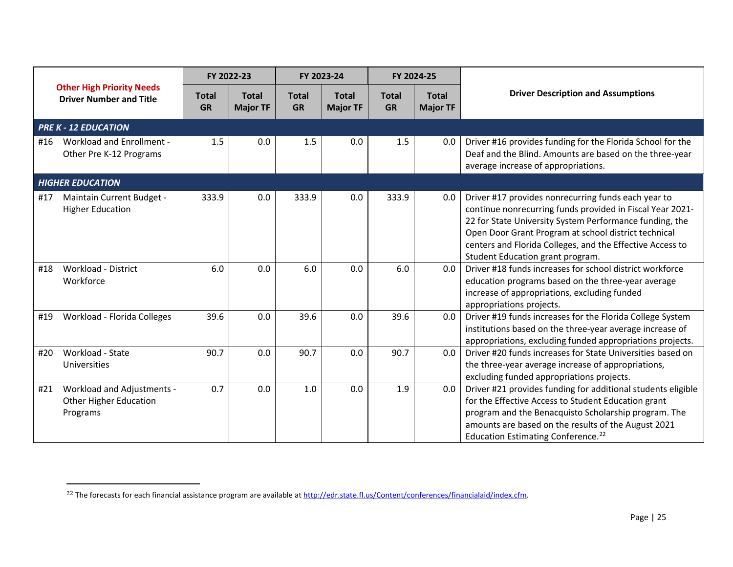<span id="page-24-0"></span>

|     |                                                                    |                           | FY 2022-23                      |                           | FY 2023-24                      |                           | FY 2024-25                      |                                                                                                                                                                                                                                                                                                                                      |
|-----|--------------------------------------------------------------------|---------------------------|---------------------------------|---------------------------|---------------------------------|---------------------------|---------------------------------|--------------------------------------------------------------------------------------------------------------------------------------------------------------------------------------------------------------------------------------------------------------------------------------------------------------------------------------|
|     | <b>Other High Priority Needs</b><br><b>Driver Number and Title</b> | <b>Total</b><br><b>GR</b> | <b>Total</b><br><b>Major TF</b> | <b>Total</b><br><b>GR</b> | <b>Total</b><br><b>Major TF</b> | <b>Total</b><br><b>GR</b> | <b>Total</b><br><b>Major TF</b> | <b>Driver Description and Assumptions</b>                                                                                                                                                                                                                                                                                            |
|     | <b>PRE K - 12 EDUCATION</b>                                        |                           |                                 |                           |                                 |                           |                                 |                                                                                                                                                                                                                                                                                                                                      |
| #16 | <b>Workload and Enrollment -</b><br>Other Pre K-12 Programs        | 1.5                       | 0.0                             | 1.5                       | 0.0                             | 1.5                       | 0.0                             | Driver #16 provides funding for the Florida School for the<br>Deaf and the Blind. Amounts are based on the three-year<br>average increase of appropriations.                                                                                                                                                                         |
|     | <b>HIGHER EDUCATION</b>                                            |                           |                                 |                           |                                 |                           |                                 |                                                                                                                                                                                                                                                                                                                                      |
| #17 | Maintain Current Budget -<br><b>Higher Education</b>               | 333.9                     | 0.0                             | 333.9                     | 0.0                             | 333.9                     | 0.0                             | Driver #17 provides nonrecurring funds each year to<br>continue nonrecurring funds provided in Fiscal Year 2021-<br>22 for State University System Performance funding, the<br>Open Door Grant Program at school district technical<br>centers and Florida Colleges, and the Effective Access to<br>Student Education grant program. |
| #18 | <b>Workload - District</b><br>Workforce                            | 6.0                       | 0.0                             | 6.0                       | 0.0                             | 6.0                       | 0.0                             | Driver #18 funds increases for school district workforce<br>education programs based on the three-year average<br>increase of appropriations, excluding funded<br>appropriations projects.                                                                                                                                           |
| #19 | Workload - Florida Colleges                                        | 39.6                      | 0.0                             | 39.6                      | 0.0                             | 39.6                      | 0.0                             | Driver #19 funds increases for the Florida College System<br>institutions based on the three-year average increase of<br>appropriations, excluding funded appropriations projects.                                                                                                                                                   |
| #20 | Workload - State<br>Universities                                   | 90.7                      | 0.0                             | 90.7                      | 0.0                             | 90.7                      | 0.0                             | Driver #20 funds increases for State Universities based on<br>the three-year average increase of appropriations,<br>excluding funded appropriations projects.                                                                                                                                                                        |
| #21 | Workload and Adjustments -<br>Other Higher Education<br>Programs   | 0.7                       | 0.0                             | 1.0                       | 0.0                             | 1.9                       | 0.0                             | Driver #21 provides funding for additional students eligible<br>for the Effective Access to Student Education grant<br>program and the Benacquisto Scholarship program. The<br>amounts are based on the results of the August 2021<br>Education Estimating Conference. <sup>22</sup>                                                 |

l

<sup>&</sup>lt;sup>22</sup> The forecasts for each financial assistance program are available at [http://edr.state.fl.us/Content/conferences/financialaid/index.cfm.](http://edr.state.fl.us/Content/conferences/financialaid/index.cfm)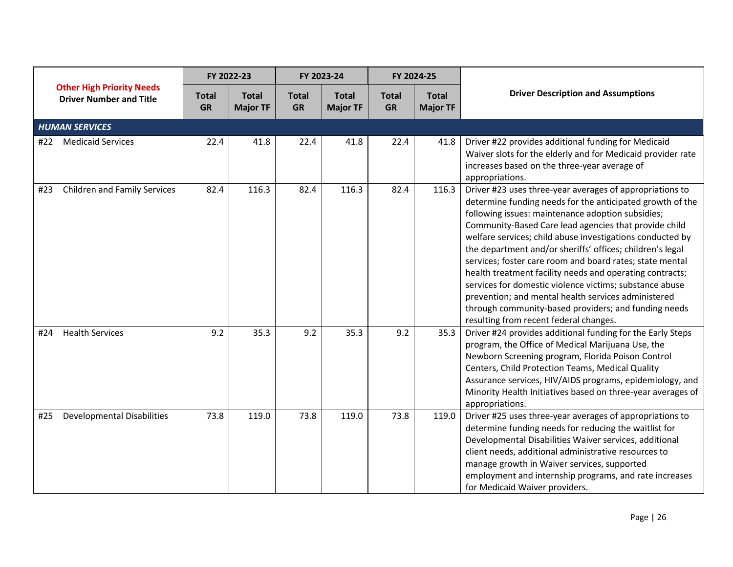|     |                                                                    |                           | FY 2022-23                      |                           | FY 2023-24                      |                           | FY 2024-25                      |                                                                                                                                                                                                                                                                                                                                                                                                                                                                                                                                                                                                                                                                                                           |
|-----|--------------------------------------------------------------------|---------------------------|---------------------------------|---------------------------|---------------------------------|---------------------------|---------------------------------|-----------------------------------------------------------------------------------------------------------------------------------------------------------------------------------------------------------------------------------------------------------------------------------------------------------------------------------------------------------------------------------------------------------------------------------------------------------------------------------------------------------------------------------------------------------------------------------------------------------------------------------------------------------------------------------------------------------|
|     | <b>Other High Priority Needs</b><br><b>Driver Number and Title</b> | <b>Total</b><br><b>GR</b> | <b>Total</b><br><b>Major TF</b> | <b>Total</b><br><b>GR</b> | <b>Total</b><br><b>Major TF</b> | <b>Total</b><br><b>GR</b> | <b>Total</b><br><b>Major TF</b> | <b>Driver Description and Assumptions</b>                                                                                                                                                                                                                                                                                                                                                                                                                                                                                                                                                                                                                                                                 |
|     | <b>HUMAN SERVICES</b>                                              |                           |                                 |                           |                                 |                           |                                 |                                                                                                                                                                                                                                                                                                                                                                                                                                                                                                                                                                                                                                                                                                           |
|     | #22 Medicaid Services                                              | 22.4                      | 41.8                            | 22.4                      | 41.8                            | 22.4                      | 41.8                            | Driver #22 provides additional funding for Medicaid<br>Waiver slots for the elderly and for Medicaid provider rate<br>increases based on the three-year average of<br>appropriations.                                                                                                                                                                                                                                                                                                                                                                                                                                                                                                                     |
| #23 | <b>Children and Family Services</b>                                | 82.4                      | 116.3                           | 82.4                      | 116.3                           | 82.4                      | 116.3                           | Driver #23 uses three-year averages of appropriations to<br>determine funding needs for the anticipated growth of the<br>following issues: maintenance adoption subsidies;<br>Community-Based Care lead agencies that provide child<br>welfare services; child abuse investigations conducted by<br>the department and/or sheriffs' offices; children's legal<br>services; foster care room and board rates; state mental<br>health treatment facility needs and operating contracts;<br>services for domestic violence victims; substance abuse<br>prevention; and mental health services administered<br>through community-based providers; and funding needs<br>resulting from recent federal changes. |
| #24 | <b>Health Services</b>                                             | 9.2                       | 35.3                            | 9.2                       | 35.3                            | 9.2                       | 35.3                            | Driver #24 provides additional funding for the Early Steps<br>program, the Office of Medical Marijuana Use, the<br>Newborn Screening program, Florida Poison Control<br>Centers, Child Protection Teams, Medical Quality<br>Assurance services, HIV/AIDS programs, epidemiology, and<br>Minority Health Initiatives based on three-year averages of<br>appropriations.                                                                                                                                                                                                                                                                                                                                    |
| #25 | <b>Developmental Disabilities</b>                                  | 73.8                      | 119.0                           | 73.8                      | 119.0                           | 73.8                      | 119.0                           | Driver #25 uses three-year averages of appropriations to<br>determine funding needs for reducing the waitlist for<br>Developmental Disabilities Waiver services, additional<br>client needs, additional administrative resources to<br>manage growth in Waiver services, supported<br>employment and internship programs, and rate increases<br>for Medicaid Waiver providers.                                                                                                                                                                                                                                                                                                                            |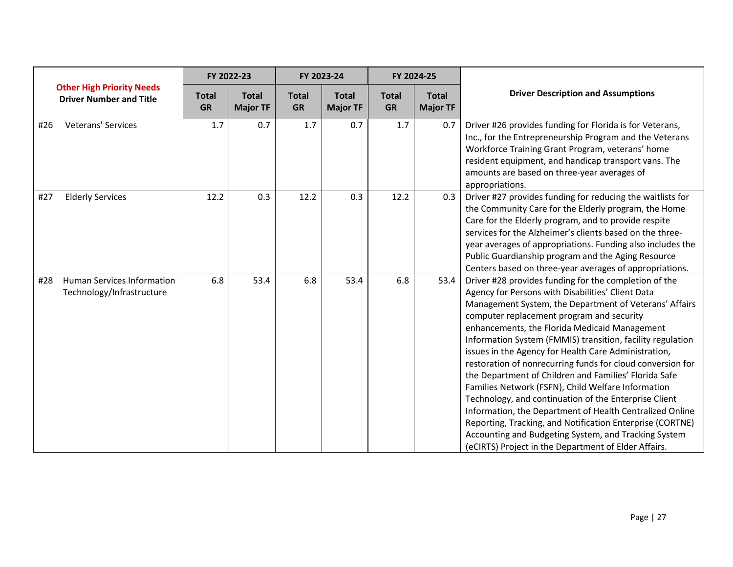|                                                                       |                           | FY 2022-23                      |                           | FY 2023-24                      |                           | FY 2024-25                      |                                                                                                                                                                                                                                                                                                                                                                                                                                                                                                                                                                                                                                                                                                                                                                                                                                                                         |
|-----------------------------------------------------------------------|---------------------------|---------------------------------|---------------------------|---------------------------------|---------------------------|---------------------------------|-------------------------------------------------------------------------------------------------------------------------------------------------------------------------------------------------------------------------------------------------------------------------------------------------------------------------------------------------------------------------------------------------------------------------------------------------------------------------------------------------------------------------------------------------------------------------------------------------------------------------------------------------------------------------------------------------------------------------------------------------------------------------------------------------------------------------------------------------------------------------|
| <b>Other High Priority Needs</b><br><b>Driver Number and Title</b>    | <b>Total</b><br><b>GR</b> | <b>Total</b><br><b>Major TF</b> | <b>Total</b><br><b>GR</b> | <b>Total</b><br><b>Major TF</b> | <b>Total</b><br><b>GR</b> | <b>Total</b><br><b>Major TF</b> | <b>Driver Description and Assumptions</b>                                                                                                                                                                                                                                                                                                                                                                                                                                                                                                                                                                                                                                                                                                                                                                                                                               |
| <b>Veterans' Services</b><br>#26                                      | 1.7                       | 0.7                             | 1.7                       | 0.7                             | 1.7                       | 0.7                             | Driver #26 provides funding for Florida is for Veterans,<br>Inc., for the Entrepreneurship Program and the Veterans<br>Workforce Training Grant Program, veterans' home<br>resident equipment, and handicap transport vans. The<br>amounts are based on three-year averages of<br>appropriations.                                                                                                                                                                                                                                                                                                                                                                                                                                                                                                                                                                       |
| <b>Elderly Services</b><br>#27                                        | 12.2                      | 0.3                             | 12.2                      | 0.3                             | 12.2                      | 0.3                             | Driver #27 provides funding for reducing the waitlists for<br>the Community Care for the Elderly program, the Home<br>Care for the Elderly program, and to provide respite<br>services for the Alzheimer's clients based on the three-<br>year averages of appropriations. Funding also includes the<br>Public Guardianship program and the Aging Resource<br>Centers based on three-year averages of appropriations.                                                                                                                                                                                                                                                                                                                                                                                                                                                   |
| <b>Human Services Information</b><br>#28<br>Technology/Infrastructure | 6.8                       | 53.4                            | 6.8                       | 53.4                            | 6.8                       | 53.4                            | Driver #28 provides funding for the completion of the<br>Agency for Persons with Disabilities' Client Data<br>Management System, the Department of Veterans' Affairs<br>computer replacement program and security<br>enhancements, the Florida Medicaid Management<br>Information System (FMMIS) transition, facility regulation<br>issues in the Agency for Health Care Administration,<br>restoration of nonrecurring funds for cloud conversion for<br>the Department of Children and Families' Florida Safe<br>Families Network (FSFN), Child Welfare Information<br>Technology, and continuation of the Enterprise Client<br>Information, the Department of Health Centralized Online<br>Reporting, Tracking, and Notification Enterprise (CORTNE)<br>Accounting and Budgeting System, and Tracking System<br>(eCIRTS) Project in the Department of Elder Affairs. |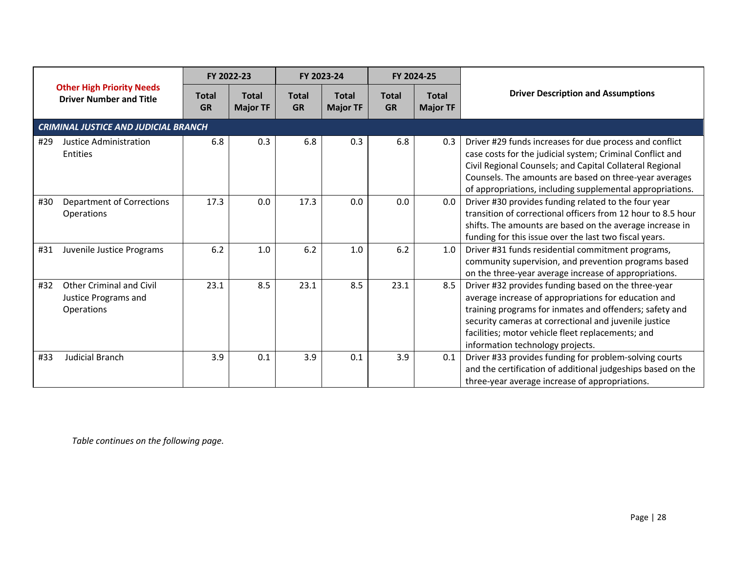|     |                                                                       |                           | FY 2022-23                      | FY 2023-24                |                                 |                           | FY 2024-25                      |                                                                                                                                                                                                                                                                                                                          |
|-----|-----------------------------------------------------------------------|---------------------------|---------------------------------|---------------------------|---------------------------------|---------------------------|---------------------------------|--------------------------------------------------------------------------------------------------------------------------------------------------------------------------------------------------------------------------------------------------------------------------------------------------------------------------|
|     | <b>Other High Priority Needs</b><br><b>Driver Number and Title</b>    | <b>Total</b><br><b>GR</b> | <b>Total</b><br><b>Major TF</b> | <b>Total</b><br><b>GR</b> | <b>Total</b><br><b>Major TF</b> | <b>Total</b><br><b>GR</b> | <b>Total</b><br><b>Major TF</b> | <b>Driver Description and Assumptions</b>                                                                                                                                                                                                                                                                                |
|     | <b>CRIMINAL JUSTICE AND JUDICIAL BRANCH</b>                           |                           |                                 |                           |                                 |                           |                                 |                                                                                                                                                                                                                                                                                                                          |
| #29 | Justice Administration<br>Entities                                    | 6.8                       | 0.3                             | 6.8                       | 0.3                             | 6.8                       | 0.3                             | Driver #29 funds increases for due process and conflict<br>case costs for the judicial system; Criminal Conflict and<br>Civil Regional Counsels; and Capital Collateral Regional<br>Counsels. The amounts are based on three-year averages<br>of appropriations, including supplemental appropriations.                  |
| #30 | <b>Department of Corrections</b><br>Operations                        | 17.3                      | 0.0                             | 17.3                      | 0.0                             | 0.0                       | 0.0                             | Driver #30 provides funding related to the four year<br>transition of correctional officers from 12 hour to 8.5 hour<br>shifts. The amounts are based on the average increase in<br>funding for this issue over the last two fiscal years.                                                                               |
| #31 | Juvenile Justice Programs                                             | 6.2                       | 1.0                             | 6.2                       | 1.0                             | 6.2                       | 1.0                             | Driver #31 funds residential commitment programs,<br>community supervision, and prevention programs based<br>on the three-year average increase of appropriations.                                                                                                                                                       |
| #32 | <b>Other Criminal and Civil</b><br>Justice Programs and<br>Operations | 23.1                      | 8.5                             | 23.1                      | 8.5                             | 23.1                      | 8.5                             | Driver #32 provides funding based on the three-year<br>average increase of appropriations for education and<br>training programs for inmates and offenders; safety and<br>security cameras at correctional and juvenile justice<br>facilities; motor vehicle fleet replacements; and<br>information technology projects. |
| #33 | <b>Judicial Branch</b>                                                | 3.9                       | 0.1                             | 3.9                       | 0.1                             | 3.9                       | 0.1                             | Driver #33 provides funding for problem-solving courts<br>and the certification of additional judgeships based on the<br>three-year average increase of appropriations.                                                                                                                                                  |

*Table continues on the following page.*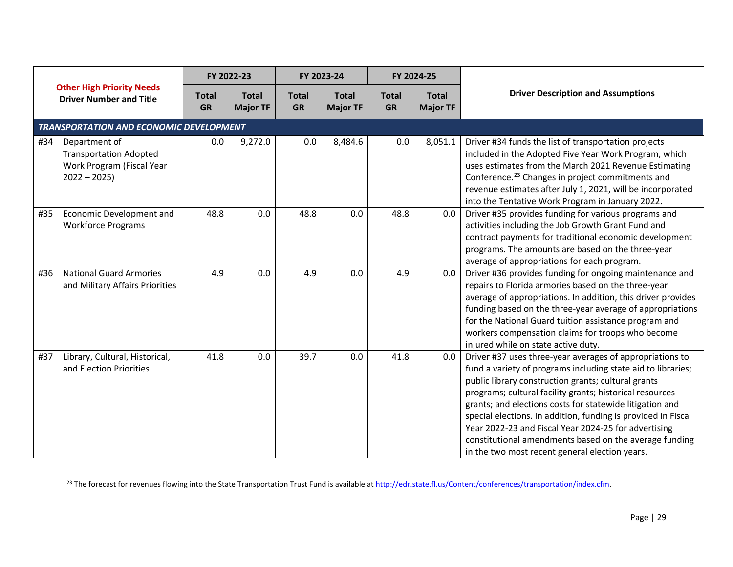<span id="page-28-0"></span>

|     |                                                                                              |                           | FY 2022-23                      |                           | FY 2023-24                      |                           | FY 2024-25                      |                                                                                                                                                                                                                                                                                                                                                                                                                                                                                                                                              |
|-----|----------------------------------------------------------------------------------------------|---------------------------|---------------------------------|---------------------------|---------------------------------|---------------------------|---------------------------------|----------------------------------------------------------------------------------------------------------------------------------------------------------------------------------------------------------------------------------------------------------------------------------------------------------------------------------------------------------------------------------------------------------------------------------------------------------------------------------------------------------------------------------------------|
|     | <b>Other High Priority Needs</b><br><b>Driver Number and Title</b>                           | <b>Total</b><br><b>GR</b> | <b>Total</b><br><b>Major TF</b> | <b>Total</b><br><b>GR</b> | <b>Total</b><br><b>Major TF</b> | <b>Total</b><br><b>GR</b> | <b>Total</b><br><b>Major TF</b> | <b>Driver Description and Assumptions</b>                                                                                                                                                                                                                                                                                                                                                                                                                                                                                                    |
|     | TRANSPORTATION AND ECONOMIC DEVELOPMENT                                                      |                           |                                 |                           |                                 |                           |                                 |                                                                                                                                                                                                                                                                                                                                                                                                                                                                                                                                              |
| #34 | Department of<br><b>Transportation Adopted</b><br>Work Program (Fiscal Year<br>$2022 - 2025$ | 0.0                       | 9,272.0                         | 0.0                       | 8,484.6                         | 0.0                       | 8,051.1                         | Driver #34 funds the list of transportation projects<br>included in the Adopted Five Year Work Program, which<br>uses estimates from the March 2021 Revenue Estimating<br>Conference. <sup>23</sup> Changes in project commitments and<br>revenue estimates after July 1, 2021, will be incorporated<br>into the Tentative Work Program in January 2022.                                                                                                                                                                                     |
| #35 | Economic Development and<br><b>Workforce Programs</b>                                        | 48.8                      | 0.0                             | 48.8                      | 0.0                             | 48.8                      | 0.0                             | Driver #35 provides funding for various programs and<br>activities including the Job Growth Grant Fund and<br>contract payments for traditional economic development<br>programs. The amounts are based on the three-year<br>average of appropriations for each program.                                                                                                                                                                                                                                                                     |
| #36 | <b>National Guard Armories</b><br>and Military Affairs Priorities                            | 4.9                       | 0.0                             | 4.9                       | 0.0                             | 4.9                       | 0.0                             | Driver #36 provides funding for ongoing maintenance and<br>repairs to Florida armories based on the three-year<br>average of appropriations. In addition, this driver provides<br>funding based on the three-year average of appropriations<br>for the National Guard tuition assistance program and<br>workers compensation claims for troops who become<br>injured while on state active duty.                                                                                                                                             |
| #37 | Library, Cultural, Historical,<br>and Election Priorities                                    | 41.8                      | 0.0                             | 39.7                      | 0.0                             | 41.8                      | 0.0                             | Driver #37 uses three-year averages of appropriations to<br>fund a variety of programs including state aid to libraries;<br>public library construction grants; cultural grants<br>programs; cultural facility grants; historical resources<br>grants; and elections costs for statewide litigation and<br>special elections. In addition, funding is provided in Fiscal<br>Year 2022-23 and Fiscal Year 2024-25 for advertising<br>constitutional amendments based on the average funding<br>in the two most recent general election years. |

<sup>&</sup>lt;sup>23</sup> The forecast for revenues flowing into the State Transportation Trust Fund is available at [http://edr.state.fl.us/Content/conferences/transportation/index.cfm.](http://edr.state.fl.us/Content/conferences/transportation/index.cfm)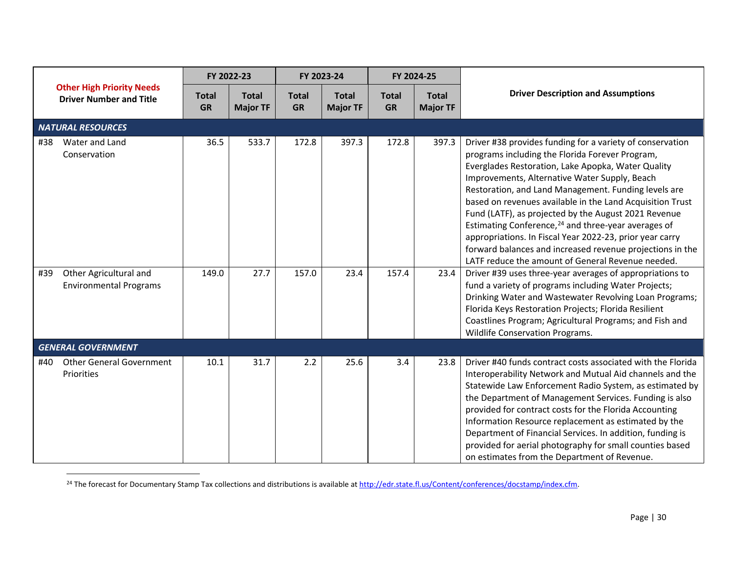<span id="page-29-0"></span>

|            |                                                                    |                           | FY 2022-23                      |                           | FY 2023-24                      |                           | FY 2024-25                      |                                                                                                                                                                                                                                                                                                                                                                                                                                                                                                                                                                                                                                                                                                               |
|------------|--------------------------------------------------------------------|---------------------------|---------------------------------|---------------------------|---------------------------------|---------------------------|---------------------------------|---------------------------------------------------------------------------------------------------------------------------------------------------------------------------------------------------------------------------------------------------------------------------------------------------------------------------------------------------------------------------------------------------------------------------------------------------------------------------------------------------------------------------------------------------------------------------------------------------------------------------------------------------------------------------------------------------------------|
|            | <b>Other High Priority Needs</b><br><b>Driver Number and Title</b> | <b>Total</b><br><b>GR</b> | <b>Total</b><br><b>Major TF</b> | <b>Total</b><br><b>GR</b> | <b>Total</b><br><b>Major TF</b> | <b>Total</b><br><b>GR</b> | <b>Total</b><br><b>Major TF</b> | <b>Driver Description and Assumptions</b>                                                                                                                                                                                                                                                                                                                                                                                                                                                                                                                                                                                                                                                                     |
|            | <b>NATURAL RESOURCES</b>                                           |                           |                                 |                           |                                 |                           |                                 |                                                                                                                                                                                                                                                                                                                                                                                                                                                                                                                                                                                                                                                                                                               |
| #38<br>#39 | Water and Land<br>Conservation<br>Other Agricultural and           | 36.5<br>149.0             | 533.7<br>27.7                   | 172.8<br>157.0            | 397.3<br>23.4                   | 172.8<br>157.4            | 397.3<br>23.4                   | Driver #38 provides funding for a variety of conservation<br>programs including the Florida Forever Program,<br>Everglades Restoration, Lake Apopka, Water Quality<br>Improvements, Alternative Water Supply, Beach<br>Restoration, and Land Management. Funding levels are<br>based on revenues available in the Land Acquisition Trust<br>Fund (LATF), as projected by the August 2021 Revenue<br>Estimating Conference, <sup>24</sup> and three-year averages of<br>appropriations. In Fiscal Year 2022-23, prior year carry<br>forward balances and increased revenue projections in the<br>LATF reduce the amount of General Revenue needed.<br>Driver #39 uses three-year averages of appropriations to |
|            | <b>Environmental Programs</b>                                      |                           |                                 |                           |                                 |                           |                                 | fund a variety of programs including Water Projects;<br>Drinking Water and Wastewater Revolving Loan Programs;<br>Florida Keys Restoration Projects; Florida Resilient<br>Coastlines Program; Agricultural Programs; and Fish and<br>Wildlife Conservation Programs.                                                                                                                                                                                                                                                                                                                                                                                                                                          |
|            | <b>GENERAL GOVERNMENT</b>                                          |                           |                                 |                           |                                 |                           |                                 |                                                                                                                                                                                                                                                                                                                                                                                                                                                                                                                                                                                                                                                                                                               |
| #40        | <b>Other General Government</b><br>Priorities                      | 10.1                      | 31.7                            | 2.2                       | 25.6                            | 3.4                       | 23.8                            | Driver #40 funds contract costs associated with the Florida<br>Interoperability Network and Mutual Aid channels and the<br>Statewide Law Enforcement Radio System, as estimated by<br>the Department of Management Services. Funding is also<br>provided for contract costs for the Florida Accounting<br>Information Resource replacement as estimated by the<br>Department of Financial Services. In addition, funding is<br>provided for aerial photography for small counties based<br>on estimates from the Department of Revenue.                                                                                                                                                                       |

<sup>24</sup> The forecast for Documentary Stamp Tax collections and distributions is available a[t http://edr.state.fl.us/Content/conferences/docstamp/index.cfm.](http://edr.state.fl.us/Content/conferences/docstamp/index.cfm)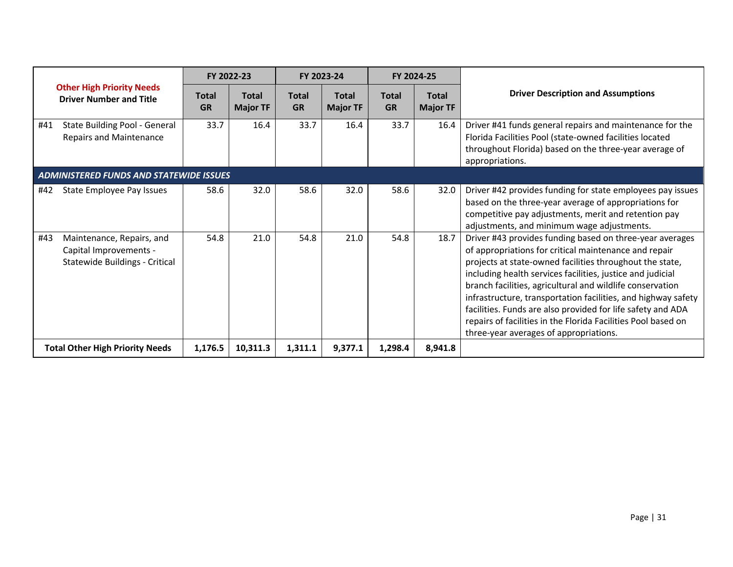|                                                                                              |                           | FY 2022-23                      | FY 2023-24                |                                 |                           | FY 2024-25                      |                                                                                                                                                                                                                                                                                                                                                                                                                                                                                                                                                     |
|----------------------------------------------------------------------------------------------|---------------------------|---------------------------------|---------------------------|---------------------------------|---------------------------|---------------------------------|-----------------------------------------------------------------------------------------------------------------------------------------------------------------------------------------------------------------------------------------------------------------------------------------------------------------------------------------------------------------------------------------------------------------------------------------------------------------------------------------------------------------------------------------------------|
| <b>Other High Priority Needs</b><br><b>Driver Number and Title</b>                           | <b>Total</b><br><b>GR</b> | <b>Total</b><br><b>Major TF</b> | <b>Total</b><br><b>GR</b> | <b>Total</b><br><b>Major TF</b> | <b>Total</b><br><b>GR</b> | <b>Total</b><br><b>Major TF</b> | <b>Driver Description and Assumptions</b>                                                                                                                                                                                                                                                                                                                                                                                                                                                                                                           |
| State Building Pool - General<br>#41<br><b>Repairs and Maintenance</b>                       | 33.7                      | 16.4                            | 33.7                      | 16.4                            | 33.7                      | 16.4                            | Driver #41 funds general repairs and maintenance for the<br>Florida Facilities Pool (state-owned facilities located<br>throughout Florida) based on the three-year average of<br>appropriations.                                                                                                                                                                                                                                                                                                                                                    |
| <b>ADMINISTERED FUNDS AND STATEWIDE ISSUES</b>                                               |                           |                                 |                           |                                 |                           |                                 |                                                                                                                                                                                                                                                                                                                                                                                                                                                                                                                                                     |
| #42<br>State Employee Pay Issues                                                             | 58.6                      | 32.0                            | 58.6                      | 32.0                            | 58.6                      | 32.0                            | Driver #42 provides funding for state employees pay issues<br>based on the three-year average of appropriations for<br>competitive pay adjustments, merit and retention pay<br>adjustments, and minimum wage adjustments.                                                                                                                                                                                                                                                                                                                           |
| #43<br>Maintenance, Repairs, and<br>Capital Improvements -<br>Statewide Buildings - Critical | 54.8                      | 21.0                            | 54.8                      | 21.0                            | 54.8                      | 18.7                            | Driver #43 provides funding based on three-year averages<br>of appropriations for critical maintenance and repair<br>projects at state-owned facilities throughout the state,<br>including health services facilities, justice and judicial<br>branch facilities, agricultural and wildlife conservation<br>infrastructure, transportation facilities, and highway safety<br>facilities. Funds are also provided for life safety and ADA<br>repairs of facilities in the Florida Facilities Pool based on<br>three-year averages of appropriations. |
| <b>Total Other High Priority Needs</b>                                                       | 1,176.5                   | 10,311.3                        | 1,311.1                   | 9,377.1                         | 1,298.4                   | 8,941.8                         |                                                                                                                                                                                                                                                                                                                                                                                                                                                                                                                                                     |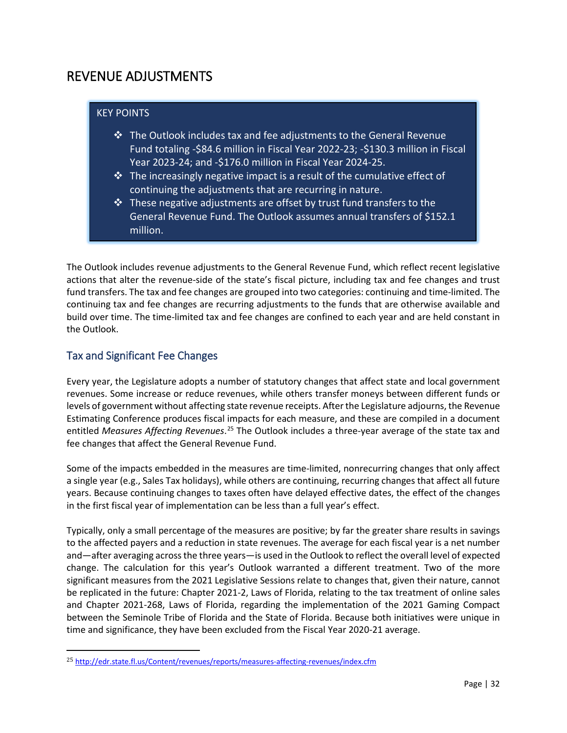## <span id="page-31-0"></span>REVENUE ADJUSTMENTS

#### KEY POINTS

- $\cdot$  The Outlook includes tax and fee adjustments to the General Revenue Fund totaling -\$84.6 million in Fiscal Year 2022-23; -\$130.3 million in Fiscal Year 2023-24; and -\$176.0 million in Fiscal Year 2024-25.
- $\triangle$  The increasingly negative impact is a result of the cumulative effect of continuing the adjustments that are recurring in nature.
- $\hat{P}$  These negative adjustments are offset by trust fund transfers to the General Revenue Fund. The Outlook assumes annual transfers of \$152.1 million.

The Outlook includes revenue adjustments to the General Revenue Fund, which reflect recent legislative actions that alter the revenue-side of the state's fiscal picture, including tax and fee changes and trust fund transfers. The tax and fee changes are grouped into two categories: continuing and time-limited. The continuing tax and fee changes are recurring adjustments to the funds that are otherwise available and build over time. The time-limited tax and fee changes are confined to each year and are held constant in the Outlook.

## <span id="page-31-1"></span>Tax and Significant Fee Changes

l

Every year, the Legislature adopts a number of statutory changes that affect state and local government revenues. Some increase or reduce revenues, while others transfer moneys between different funds or levels of government without affecting state revenue receipts. After the Legislature adjourns, the Revenue Estimating Conference produces fiscal impacts for each measure, and these are compiled in a document entitled *Measures Affecting Revenues*.<sup>[25](#page-31-2)</sup> The Outlook includes a three-year average of the state tax and fee changes that affect the General Revenue Fund.

Some of the impacts embedded in the measures are time-limited, nonrecurring changes that only affect a single year (e.g., Sales Tax holidays), while others are continuing, recurring changes that affect all future years. Because continuing changes to taxes often have delayed effective dates, the effect of the changes in the first fiscal year of implementation can be less than a full year's effect.

Typically, only a small percentage of the measures are positive; by far the greater share results in savings to the affected payers and a reduction in state revenues. The average for each fiscal year is a net number and—after averaging across the three years—is used in the Outlook to reflect the overall level of expected change. The calculation for this year's Outlook warranted a different treatment. Two of the more significant measures from the 2021 Legislative Sessions relate to changes that, given their nature, cannot be replicated in the future: Chapter 2021-2, Laws of Florida, relating to the tax treatment of online sales and Chapter 2021-268, Laws of Florida, regarding the implementation of the 2021 Gaming Compact between the Seminole Tribe of Florida and the State of Florida. Because both initiatives were unique in time and significance, they have been excluded from the Fiscal Year 2020-21 average.

<span id="page-31-2"></span><sup>25</sup> <http://edr.state.fl.us/Content/revenues/reports/measures-affecting-revenues/index.cfm>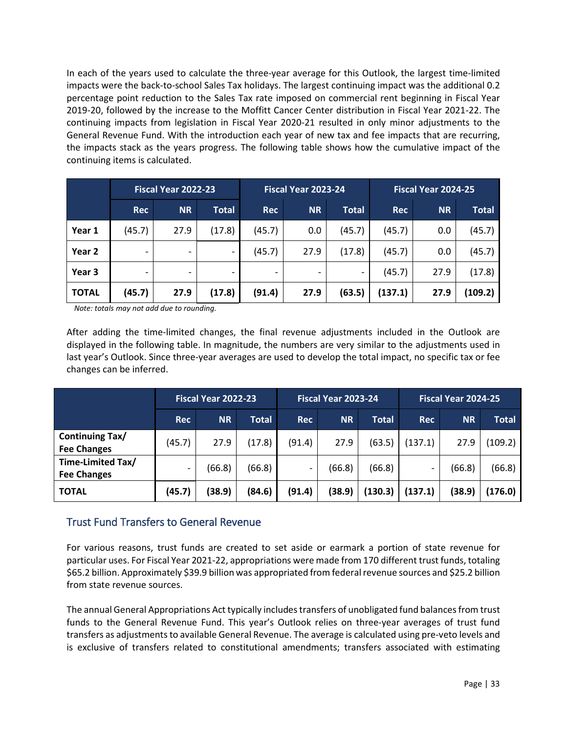In each of the years used to calculate the three-year average for this Outlook, the largest time-limited impacts were the back-to-school Sales Tax holidays. The largest continuing impact was the additional 0.2 percentage point reduction to the Sales Tax rate imposed on commercial rent beginning in Fiscal Year 2019-20, followed by the increase to the Moffitt Cancer Center distribution in Fiscal Year 2021-22. The continuing impacts from legislation in Fiscal Year 2020-21 resulted in only minor adjustments to the General Revenue Fund. With the introduction each year of new tax and fee impacts that are recurring, the impacts stack as the years progress. The following table shows how the cumulative impact of the continuing items is calculated.

|              |            | Fiscal Year 2022-23 |              |            | Fiscal Year 2023-24 |              | <b>Fiscal Year 2024-25</b> |           |              |  |
|--------------|------------|---------------------|--------------|------------|---------------------|--------------|----------------------------|-----------|--------------|--|
|              | <b>Rec</b> | <b>NR</b>           | <b>Total</b> | <b>Rec</b> | <b>NR</b>           | <b>Total</b> | <b>Rec</b>                 | <b>NR</b> | <b>Total</b> |  |
| Year 1       | (45.7)     | 27.9                | (17.8)       | (45.7)     | 0.0                 | (45.7)       | (45.7)                     | 0.0       | (45.7)       |  |
| Year 2       |            |                     |              | (45.7)     | 27.9                | (17.8)       | (45.7)                     | 0.0       | (45.7)       |  |
| Year 3       |            |                     |              | -          |                     |              | (45.7)                     | 27.9      | (17.8)       |  |
| <b>TOTAL</b> | (45.7)     | 27.9                | (17.8)       | (91.4)     | 27.9                | (63.5)       | (137.1)                    | 27.9      | (109.2)      |  |

 *Note: totals may not add due to rounding.*

After adding the time-limited changes, the final revenue adjustments included in the Outlook are displayed in the following table. In magnitude, the numbers are very similar to the adjustments used in last year's Outlook. Since three-year averages are used to develop the total impact, no specific tax or fee changes can be inferred.

|                                              |                          | Fiscal Year 2022-23 |        |            | Fiscal Year 2023-24 |              | Fiscal Year 2024-25      |           |              |  |
|----------------------------------------------|--------------------------|---------------------|--------|------------|---------------------|--------------|--------------------------|-----------|--------------|--|
|                                              | <b>Rec</b>               | <b>NR</b>           | Total  | <b>Rec</b> | <b>NR</b>           | <b>Total</b> | <b>Rec</b>               | <b>NR</b> | <b>Total</b> |  |
| <b>Continuing Tax/</b><br><b>Fee Changes</b> | (45.7)                   | 27.9                | (17.8) | (91.4)     | 27.9                | (63.5)       | (137.1)                  | 27.9      | (109.2)      |  |
| Time-Limited Tax/<br><b>Fee Changes</b>      | $\overline{\phantom{0}}$ | (66.8)              | (66.8) | -          | (66.8)              | (66.8)       | $\overline{\phantom{0}}$ | (66.8)    | (66.8)       |  |
| <b>TOTAL</b>                                 | (45.7)                   | (38.9)              | (84.6) | (91.4)     | (38.9)              | (130.3)      | (137.1)                  | (38.9)    | (176.0)      |  |

## <span id="page-32-0"></span>Trust Fund Transfers to General Revenue

For various reasons, trust funds are created to set aside or earmark a portion of state revenue for particular uses. For Fiscal Year 2021-22, appropriations were made from 170 different trust funds, totaling \$65.2 billion. Approximately \$39.9 billion was appropriated from federal revenue sources and \$25.2 billion from state revenue sources.

The annual General Appropriations Act typically includes transfers of unobligated fund balances from trust funds to the General Revenue Fund. This year's Outlook relies on three-year averages of trust fund transfers as adjustments to available General Revenue. The average is calculated using pre-veto levels and is exclusive of transfers related to constitutional amendments; transfers associated with estimating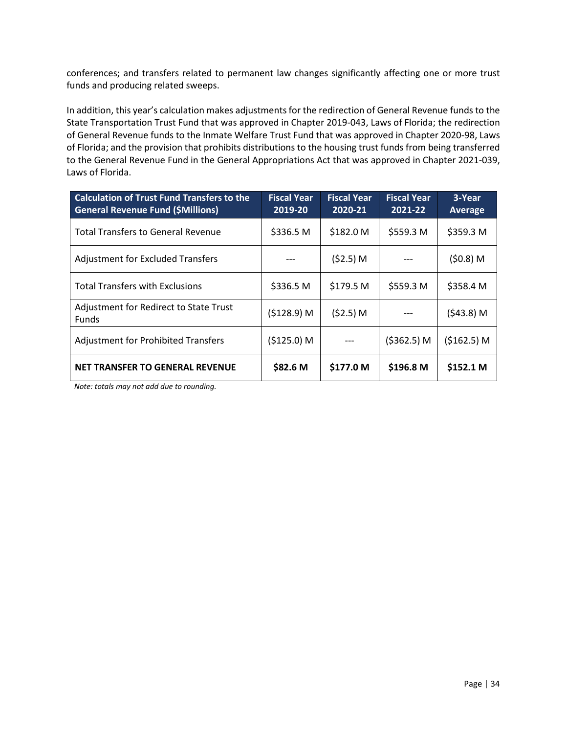conferences; and transfers related to permanent law changes significantly affecting one or more trust funds and producing related sweeps.

In addition, this year's calculation makes adjustments for the redirection of General Revenue funds to the State Transportation Trust Fund that was approved in Chapter 2019-043, Laws of Florida; the redirection of General Revenue funds to the Inmate Welfare Trust Fund that was approved in Chapter 2020-98, Laws of Florida; and the provision that prohibits distributions to the housing trust funds from being transferred to the General Revenue Fund in the General Appropriations Act that was approved in Chapter 2021-039, Laws of Florida.

| <b>Calculation of Trust Fund Transfers to the</b><br><b>General Revenue Fund (\$Millions)</b> | <b>Fiscal Year</b><br>2019-20 | <b>Fiscal Year</b><br>2020-21 | <b>Fiscal Year</b><br>2021-22 | 3-Year<br><b>Average</b> |
|-----------------------------------------------------------------------------------------------|-------------------------------|-------------------------------|-------------------------------|--------------------------|
| <b>Total Transfers to General Revenue</b>                                                     | \$336.5 M                     | \$182.0 M                     | \$559.3 M                     | \$359.3 M                |
| <b>Adjustment for Excluded Transfers</b>                                                      |                               | (52.5) M                      |                               | $(50.8)$ M               |
| <b>Total Transfers with Exclusions</b>                                                        | \$336.5 M                     | \$179.5 M                     | \$559.3 M                     | \$358.4 M                |
| Adjustment for Redirect to State Trust<br><b>Funds</b>                                        | (5128.9) M                    | (52.5) M                      |                               | $(543.8)$ M              |
| <b>Adjustment for Prohibited Transfers</b>                                                    | (\$125.0) M                   |                               | (\$362.5) M                   | (5162.5) M               |
| <b>NET TRANSFER TO GENERAL REVENUE</b>                                                        | \$82.6 M                      | \$177.0 M                     | \$196.8 M                     | \$152.1 M                |

 *Note: totals may not add due to rounding.*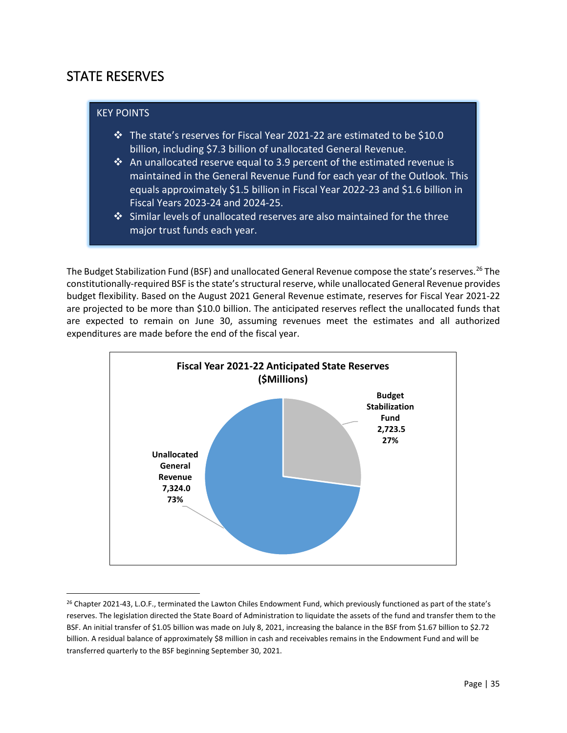## <span id="page-34-0"></span>STATE RESERVES

#### KEY POINTS

- $\cdot$  The state's reserves for Fiscal Year 2021-22 are estimated to be \$10.0 billion, including \$7.3 billion of unallocated General Revenue.
- $\cdot$  An unallocated reserve equal to 3.9 percent of the estimated revenue is maintained in the General Revenue Fund for each year of the Outlook. This equals approximately \$1.5 billion in Fiscal Year 2022-23 and \$1.6 billion in Fiscal Years 2023-24 and 2024-25.
- $\cdot$  Similar levels of unallocated reserves are also maintained for the three major trust funds each year.

The Budget Stabilization Fund (BSF) and unallocated General Revenue compose the state's reserves.<sup>26</sup> The constitutionally-required BSF is the state's structural reserve, while unallocated General Revenue provides budget flexibility. Based on the August 2021 General Revenue estimate, reserves for Fiscal Year 2021-22 are projected to be more than \$10.0 billion. The anticipated reserves reflect the unallocated funds that are expected to remain on June 30, assuming revenues meet the estimates and all authorized expenditures are made before the end of the fiscal year.



<span id="page-34-1"></span><sup>&</sup>lt;sup>26</sup> Chapter 2021-43, L.O.F., terminated the Lawton Chiles Endowment Fund, which previously functioned as part of the state's reserves. The legislation directed the State Board of Administration to liquidate the assets of the fund and transfer them to the BSF. An initial transfer of \$1.05 billion was made on July 8, 2021, increasing the balance in the BSF from \$1.67 billion to \$2.72 billion. A residual balance of approximately \$8 million in cash and receivables remains in the Endowment Fund and will be transferred quarterly to the BSF beginning September 30, 2021.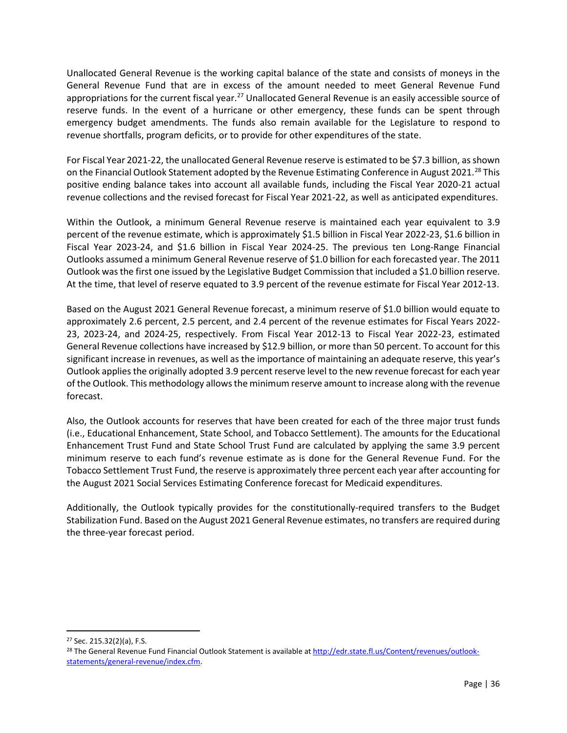Unallocated General Revenue is the working capital balance of the state and consists of moneys in the General Revenue Fund that are in excess of the amount needed to meet General Revenue Fund appropriations for the current fiscal year.<sup>[27](#page-35-0)</sup> Unallocated General Revenue is an easily accessible source of reserve funds. In the event of a hurricane or other emergency, these funds can be spent through emergency budget amendments. The funds also remain available for the Legislature to respond to revenue shortfalls, program deficits, or to provide for other expenditures of the state.

For Fiscal Year 2021-22, the unallocated General Revenue reserve is estimated to be \$7.3 billion, as shown on the Financial Outlook Statement adopted by the Revenue Estimating Conference in August 2021.<sup>[28](#page-35-1)</sup> This positive ending balance takes into account all available funds, including the Fiscal Year 2020-21 actual revenue collections and the revised forecast for Fiscal Year 2021-22, as well as anticipated expenditures.

Within the Outlook, a minimum General Revenue reserve is maintained each year equivalent to 3.9 percent of the revenue estimate, which is approximately \$1.5 billion in Fiscal Year 2022-23, \$1.6 billion in Fiscal Year 2023-24, and \$1.6 billion in Fiscal Year 2024-25. The previous ten Long-Range Financial Outlooks assumed a minimum General Revenue reserve of \$1.0 billion for each forecasted year. The 2011 Outlook was the first one issued by the Legislative Budget Commission that included a \$1.0 billion reserve. At the time, that level of reserve equated to 3.9 percent of the revenue estimate for Fiscal Year 2012-13.

Based on the August 2021 General Revenue forecast, a minimum reserve of \$1.0 billion would equate to approximately 2.6 percent, 2.5 percent, and 2.4 percent of the revenue estimates for Fiscal Years 2022- 23, 2023-24, and 2024-25, respectively. From Fiscal Year 2012-13 to Fiscal Year 2022-23, estimated General Revenue collections have increased by \$12.9 billion, or more than 50 percent. To account for this significant increase in revenues, as well as the importance of maintaining an adequate reserve, this year's Outlook applies the originally adopted 3.9 percent reserve level to the new revenue forecast for each year of the Outlook. This methodology allows the minimum reserve amount to increase along with the revenue forecast.

Also, the Outlook accounts for reserves that have been created for each of the three major trust funds (i.e., Educational Enhancement, State School, and Tobacco Settlement). The amounts for the Educational Enhancement Trust Fund and State School Trust Fund are calculated by applying the same 3.9 percent minimum reserve to each fund's revenue estimate as is done for the General Revenue Fund. For the Tobacco Settlement Trust Fund, the reserve is approximately three percent each year after accounting for the August 2021 Social Services Estimating Conference forecast for Medicaid expenditures.

Additionally, the Outlook typically provides for the constitutionally-required transfers to the Budget Stabilization Fund. Based on the August 2021 General Revenue estimates, no transfers are required during the three-year forecast period.

<span id="page-35-0"></span> <sup>27</sup> Sec. 215.32(2)(a), F.S.

<span id="page-35-1"></span><sup>&</sup>lt;sup>28</sup> The General Revenue Fund Financial Outlook Statement is available a[t http://edr.state.fl.us/Content/revenues/outlook](http://edr.state.fl.us/Content/revenues/outlook-statements/general-revenue/index.cfm)[statements/general-revenue/index.cfm.](http://edr.state.fl.us/Content/revenues/outlook-statements/general-revenue/index.cfm)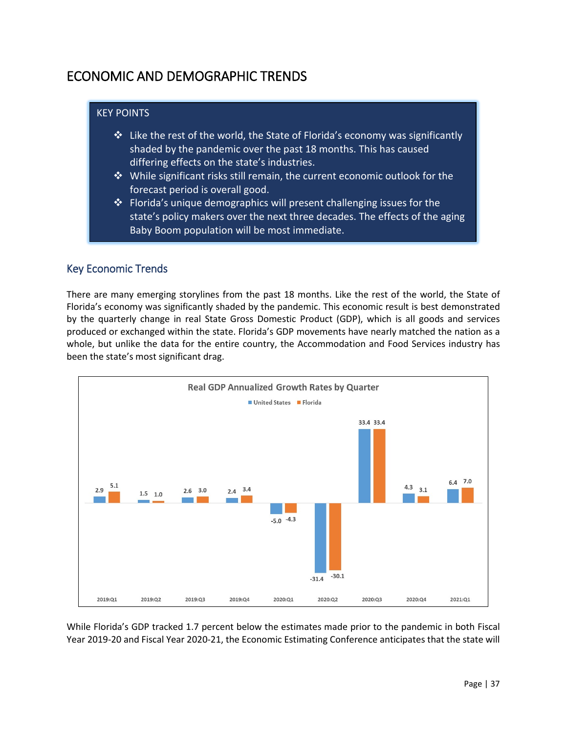# <span id="page-36-0"></span>ECONOMIC AND DEMOGRAPHIC TRENDS

#### KEY POINTS

- $\cdot$  Like the rest of the world, the State of Florida's economy was significantly shaded by the pandemic over the past 18 months. This has caused differing effects on the state's industries.
- $\mathbf{\hat{P}}$  While significant risks still remain, the current economic outlook for the forecast period is overall good.
- $\cdot$  Florida's unique demographics will present challenging issues for the state's policy makers over the next three decades. The effects of the aging Baby Boom population will be most immediate.

## <span id="page-36-1"></span>Key Economic Trends

There are many emerging storylines from the past 18 months. Like the rest of the world, the State of Florida's economy was significantly shaded by the pandemic. This economic result is best demonstrated by the quarterly change in real State Gross Domestic Product (GDP), which is all goods and services produced or exchanged within the state. Florida's GDP movements have nearly matched the nation as a whole, but unlike the data for the entire country, the Accommodation and Food Services industry has been the state's most significant drag.



While Florida's GDP tracked 1.7 percent below the estimates made prior to the pandemic in both Fiscal Year 2019-20 and Fiscal Year 2020-21, the Economic Estimating Conference anticipates that the state will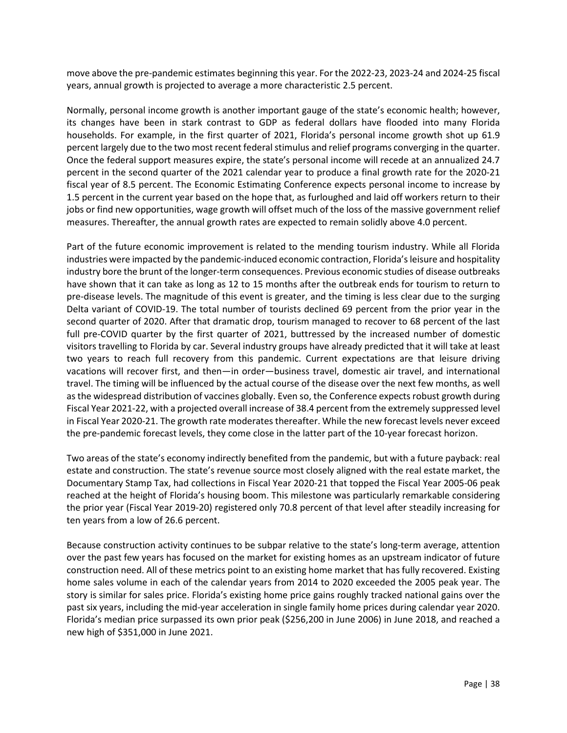move above the pre-pandemic estimates beginning this year. For the 2022-23, 2023-24 and 2024-25 fiscal years, annual growth is projected to average a more characteristic 2.5 percent.

Normally, personal income growth is another important gauge of the state's economic health; however, its changes have been in stark contrast to GDP as federal dollars have flooded into many Florida households. For example, in the first quarter of 2021, Florida's personal income growth shot up 61.9 percent largely due to the two most recent federal stimulus and relief programs converging in the quarter. Once the federal support measures expire, the state's personal income will recede at an annualized 24.7 percent in the second quarter of the 2021 calendar year to produce a final growth rate for the 2020-21 fiscal year of 8.5 percent. The Economic Estimating Conference expects personal income to increase by 1.5 percent in the current year based on the hope that, as furloughed and laid off workers return to their jobs or find new opportunities, wage growth will offset much of the loss of the massive government relief measures. Thereafter, the annual growth rates are expected to remain solidly above 4.0 percent.

Part of the future economic improvement is related to the mending tourism industry. While all Florida industries were impacted by the pandemic-induced economic contraction, Florida's leisure and hospitality industry bore the brunt of the longer-term consequences. Previous economic studies of disease outbreaks have shown that it can take as long as 12 to 15 months after the outbreak ends for tourism to return to pre-disease levels. The magnitude of this event is greater, and the timing is less clear due to the surging Delta variant of COVID-19. The total number of tourists declined 69 percent from the prior year in the second quarter of 2020. After that dramatic drop, tourism managed to recover to 68 percent of the last full pre-COVID quarter by the first quarter of 2021, buttressed by the increased number of domestic visitors travelling to Florida by car. Several industry groups have already predicted that it will take at least two years to reach full recovery from this pandemic. Current expectations are that leisure driving vacations will recover first, and then—in order—business travel, domestic air travel, and international travel. The timing will be influenced by the actual course of the disease over the next few months, as well as the widespread distribution of vaccines globally. Even so, the Conference expects robust growth during Fiscal Year 2021-22, with a projected overall increase of 38.4 percent from the extremely suppressed level in Fiscal Year 2020-21. The growth rate moderates thereafter. While the new forecast levels never exceed the pre-pandemic forecast levels, they come close in the latter part of the 10-year forecast horizon.

Two areas of the state's economy indirectly benefited from the pandemic, but with a future payback: real estate and construction. The state's revenue source most closely aligned with the real estate market, the Documentary Stamp Tax, had collections in Fiscal Year 2020-21 that topped the Fiscal Year 2005-06 peak reached at the height of Florida's housing boom. This milestone was particularly remarkable considering the prior year (Fiscal Year 2019-20) registered only 70.8 percent of that level after steadily increasing for ten years from a low of 26.6 percent.

Because construction activity continues to be subpar relative to the state's long-term average, attention over the past few years has focused on the market for existing homes as an upstream indicator of future construction need. All of these metrics point to an existing home market that has fully recovered. Existing home sales volume in each of the calendar years from 2014 to 2020 exceeded the 2005 peak year. The story is similar for sales price. Florida's existing home price gains roughly tracked national gains over the past six years, including the mid-year acceleration in single family home prices during calendar year 2020. Florida's median price surpassed its own prior peak (\$256,200 in June 2006) in June 2018, and reached a new high of \$351,000 in June 2021.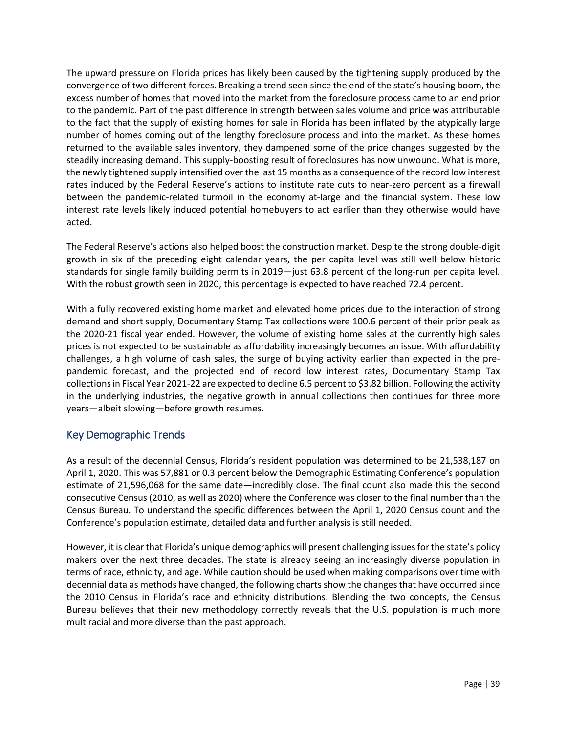The upward pressure on Florida prices has likely been caused by the tightening supply produced by the convergence of two different forces. Breaking a trend seen since the end of the state's housing boom, the excess number of homes that moved into the market from the foreclosure process came to an end prior to the pandemic. Part of the past difference in strength between sales volume and price was attributable to the fact that the supply of existing homes for sale in Florida has been inflated by the atypically large number of homes coming out of the lengthy foreclosure process and into the market. As these homes returned to the available sales inventory, they dampened some of the price changes suggested by the steadily increasing demand. This supply-boosting result of foreclosures has now unwound. What is more, the newly tightened supply intensified over the last 15 months as a consequence of the record low interest rates induced by the Federal Reserve's actions to institute rate cuts to near-zero percent as a firewall between the pandemic-related turmoil in the economy at-large and the financial system. These low interest rate levels likely induced potential homebuyers to act earlier than they otherwise would have acted.

The Federal Reserve's actions also helped boost the construction market. Despite the strong double-digit growth in six of the preceding eight calendar years, the per capita level was still well below historic standards for single family building permits in 2019—just 63.8 percent of the long-run per capita level. With the robust growth seen in 2020, this percentage is expected to have reached 72.4 percent.

With a fully recovered existing home market and elevated home prices due to the interaction of strong demand and short supply, Documentary Stamp Tax collections were 100.6 percent of their prior peak as the 2020-21 fiscal year ended. However, the volume of existing home sales at the currently high sales prices is not expected to be sustainable as affordability increasingly becomes an issue. With affordability challenges, a high volume of cash sales, the surge of buying activity earlier than expected in the prepandemic forecast, and the projected end of record low interest rates, Documentary Stamp Tax collections in Fiscal Year 2021-22 are expected to decline 6.5 percent to \$3.82 billion. Following the activity in the underlying industries, the negative growth in annual collections then continues for three more years—albeit slowing—before growth resumes.

## <span id="page-38-0"></span>Key Demographic Trends

As a result of the decennial Census, Florida's resident population was determined to be 21,538,187 on April 1, 2020. This was 57,881 or 0.3 percent below the Demographic Estimating Conference's population estimate of 21,596,068 for the same date—incredibly close. The final count also made this the second consecutive Census (2010, as well as 2020) where the Conference was closer to the final number than the Census Bureau. To understand the specific differences between the April 1, 2020 Census count and the Conference's population estimate, detailed data and further analysis is still needed.

However, it is clear that Florida's unique demographics will present challenging issues for the state's policy makers over the next three decades. The state is already seeing an increasingly diverse population in terms of race, ethnicity, and age. While caution should be used when making comparisons over time with decennial data as methods have changed, the following charts show the changes that have occurred since the 2010 Census in Florida's race and ethnicity distributions. Blending the two concepts, the Census Bureau believes that their new methodology correctly reveals that the U.S. population is much more multiracial and more diverse than the past approach.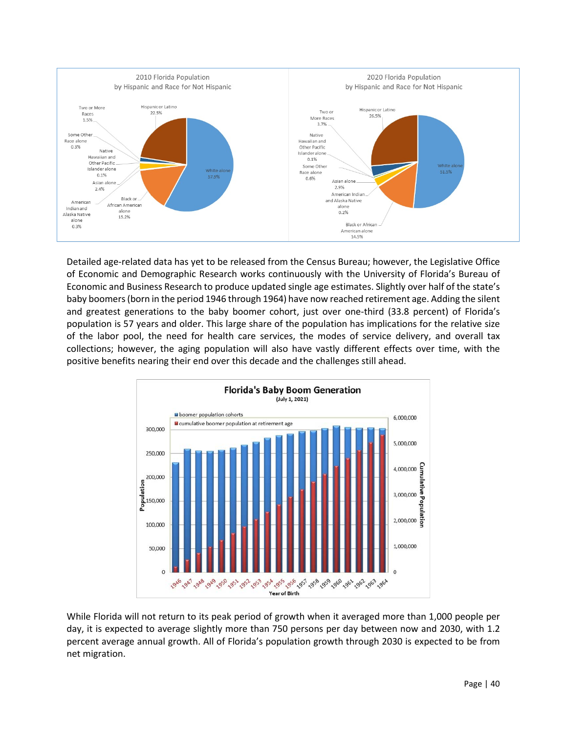

Detailed age-related data has yet to be released from the Census Bureau; however, the Legislative Office of Economic and Demographic Research works continuously with the University of Florida's Bureau of Economic and Business Research to produce updated single age estimates. Slightly over half of the state's baby boomers (born in the period 1946 through 1964) have now reached retirement age. Adding the silent and greatest generations to the baby boomer cohort, just over one-third (33.8 percent) of Florida's population is 57 years and older. This large share of the population has implications for the relative size of the labor pool, the need for health care services, the modes of service delivery, and overall tax collections; however, the aging population will also have vastly different effects over time, with the positive benefits nearing their end over this decade and the challenges still ahead.



While Florida will not return to its peak period of growth when it averaged more than 1,000 people per day, it is expected to average slightly more than 750 persons per day between now and 2030, with 1.2 percent average annual growth. All of Florida's population growth through 2030 is expected to be from net migration.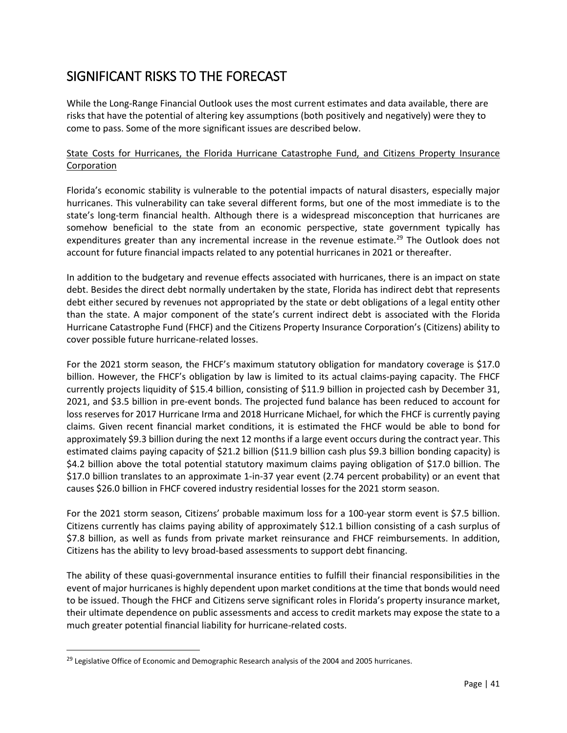# <span id="page-40-0"></span>SIGNIFICANT RISKS TO THE FORECAST

While the Long-Range Financial Outlook uses the most current estimates and data available, there are risks that have the potential of altering key assumptions (both positively and negatively) were they to come to pass. Some of the more significant issues are described below.

#### State Costs for Hurricanes, the Florida Hurricane Catastrophe Fund, and Citizens Property Insurance Corporation

Florida's economic stability is vulnerable to the potential impacts of natural disasters, especially major hurricanes. This vulnerability can take several different forms, but one of the most immediate is to the state's long-term financial health. Although there is a widespread misconception that hurricanes are somehow beneficial to the state from an economic perspective, state government typically has expenditures greater than any incremental increase in the revenue estimate.<sup>29</sup> The Outlook does not account for future financial impacts related to any potential hurricanes in 2021 or thereafter.

In addition to the budgetary and revenue effects associated with hurricanes, there is an impact on state debt. Besides the direct debt normally undertaken by the state, Florida has indirect debt that represents debt either secured by revenues not appropriated by the state or debt obligations of a legal entity other than the state. A major component of the state's current indirect debt is associated with the Florida Hurricane Catastrophe Fund (FHCF) and the Citizens Property Insurance Corporation's (Citizens) ability to cover possible future hurricane-related losses.

For the 2021 storm season, the FHCF's maximum statutory obligation for mandatory coverage is \$17.0 billion. However, the FHCF's obligation by law is limited to its actual claims-paying capacity. The FHCF currently projects liquidity of \$15.4 billion, consisting of \$11.9 billion in projected cash by December 31, 2021, and \$3.5 billion in pre-event bonds. The projected fund balance has been reduced to account for loss reserves for 2017 Hurricane Irma and 2018 Hurricane Michael, for which the FHCF is currently paying claims. Given recent financial market conditions, it is estimated the FHCF would be able to bond for approximately \$9.3 billion during the next 12 months if a large event occurs during the contract year. This estimated claims paying capacity of \$21.2 billion (\$11.9 billion cash plus \$9.3 billion bonding capacity) is \$4.2 billion above the total potential statutory maximum claims paying obligation of \$17.0 billion. The \$17.0 billion translates to an approximate 1-in-37 year event (2.74 percent probability) or an event that causes \$26.0 billion in FHCF covered industry residential losses for the 2021 storm season.

For the 2021 storm season, Citizens' probable maximum loss for a 100-year storm event is \$7.5 billion. Citizens currently has claims paying ability of approximately \$12.1 billion consisting of a cash surplus of \$7.8 billion, as well as funds from private market reinsurance and FHCF reimbursements. In addition, Citizens has the ability to levy broad-based assessments to support debt financing.

The ability of these quasi-governmental insurance entities to fulfill their financial responsibilities in the event of major hurricanes is highly dependent upon market conditions at the time that bonds would need to be issued. Though the FHCF and Citizens serve significant roles in Florida's property insurance market, their ultimate dependence on public assessments and access to credit markets may expose the state to a much greater potential financial liability for hurricane-related costs.

<span id="page-40-1"></span> $29$  Legislative Office of Economic and Demographic Research analysis of the 2004 and 2005 hurricanes.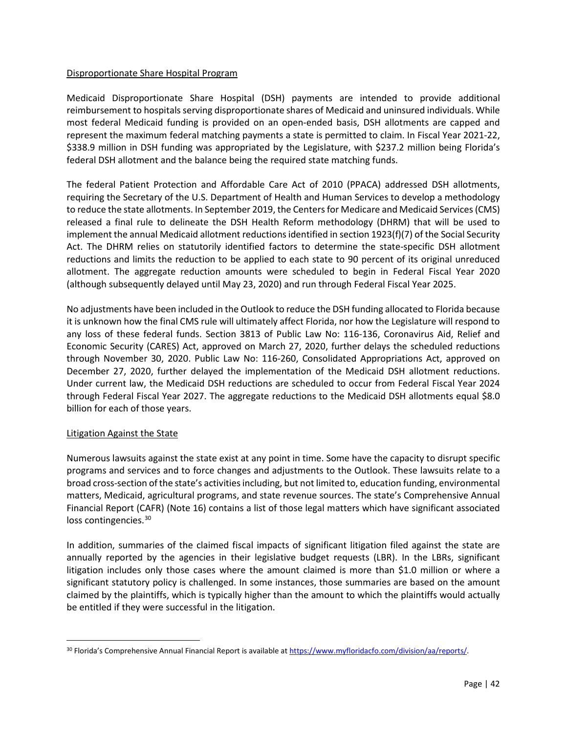#### Disproportionate Share Hospital Program

Medicaid Disproportionate Share Hospital (DSH) payments are intended to provide additional reimbursement to hospitals serving disproportionate shares of Medicaid and uninsured individuals. While most federal Medicaid funding is provided on an open-ended basis, DSH allotments are capped and represent the maximum federal matching payments a state is permitted to claim. In Fiscal Year 2021-22, \$338.9 million in DSH funding was appropriated by the Legislature, with \$237.2 million being Florida's federal DSH allotment and the balance being the required state matching funds.

The federal Patient Protection and Affordable Care Act of 2010 (PPACA) addressed DSH allotments, requiring the Secretary of the U.S. Department of Health and Human Services to develop a methodology to reduce the state allotments. In September 2019, the Centers for Medicare and Medicaid Services (CMS) released a final rule to delineate the DSH Health Reform methodology (DHRM) that will be used to implement the annual Medicaid allotment reductions identified in section 1923(f)(7) of the Social Security Act. The DHRM relies on statutorily identified factors to determine the state-specific DSH allotment reductions and limits the reduction to be applied to each state to 90 percent of its original unreduced allotment. The aggregate reduction amounts were scheduled to begin in Federal Fiscal Year 2020 (although subsequently delayed until May 23, 2020) and run through Federal Fiscal Year 2025.

No adjustments have been included in the Outlook to reduce the DSH funding allocated to Florida because it is unknown how the final CMS rule will ultimately affect Florida, nor how the Legislature will respond to any loss of these federal funds. Section 3813 of Public Law No: 116-136, Coronavirus Aid, Relief and Economic Security (CARES) Act, approved on March 27, 2020, further delays the scheduled reductions through November 30, 2020. Public Law No: 116-260, Consolidated Appropriations Act, approved on December 27, 2020, further delayed the implementation of the Medicaid DSH allotment reductions. Under current law, the Medicaid DSH reductions are scheduled to occur from Federal Fiscal Year 2024 through Federal Fiscal Year 2027. The aggregate reductions to the Medicaid DSH allotments equal \$8.0 billion for each of those years.

#### Litigation Against the State

Numerous lawsuits against the state exist at any point in time. Some have the capacity to disrupt specific programs and services and to force changes and adjustments to the Outlook. These lawsuits relate to a broad cross-section of the state's activities including, but not limited to, education funding, environmental matters, Medicaid, agricultural programs, and state revenue sources. The state's Comprehensive Annual Financial Report (CAFR) (Note 16) contains a list of those legal matters which have significant associated loss contingencies.<sup>[30](#page-41-0)</sup>

In addition, summaries of the claimed fiscal impacts of significant litigation filed against the state are annually reported by the agencies in their legislative budget requests (LBR). In the LBRs, significant litigation includes only those cases where the amount claimed is more than \$1.0 million or where a significant statutory policy is challenged. In some instances, those summaries are based on the amount claimed by the plaintiffs, which is typically higher than the amount to which the plaintiffs would actually be entitled if they were successful in the litigation.

<span id="page-41-0"></span><sup>&</sup>lt;sup>30</sup> Florida's Comprehensive Annual Financial Report is available at https://www.myfloridacfo.com/division/aa/reports/.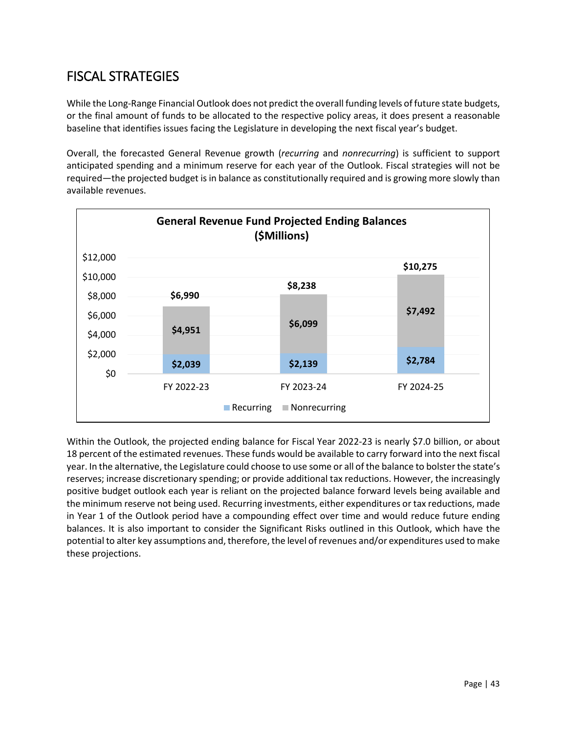# <span id="page-42-0"></span>FISCAL STRATEGIES

While the Long-Range Financial Outlook does not predict the overall funding levels of future state budgets, or the final amount of funds to be allocated to the respective policy areas, it does present a reasonable baseline that identifies issues facing the Legislature in developing the next fiscal year's budget.

Overall, the forecasted General Revenue growth (*recurring* and *nonrecurring*) is sufficient to support anticipated spending and a minimum reserve for each year of the Outlook. Fiscal strategies will not be required—the projected budget is in balance as constitutionally required and is growing more slowly than available revenues.



Within the Outlook, the projected ending balance for Fiscal Year 2022-23 is nearly \$7.0 billion, or about 18 percent of the estimated revenues. These funds would be available to carry forward into the next fiscal year. In the alternative, the Legislature could choose to use some or all of the balance to bolster the state's reserves; increase discretionary spending; or provide additional tax reductions. However, the increasingly positive budget outlook each year is reliant on the projected balance forward levels being available and the minimum reserve not being used. Recurring investments, either expenditures or tax reductions, made in Year 1 of the Outlook period have a compounding effect over time and would reduce future ending balances. It is also important to consider the Significant Risks outlined in this Outlook, which have the potential to alter key assumptions and, therefore, the level of revenues and/or expenditures used to make these projections.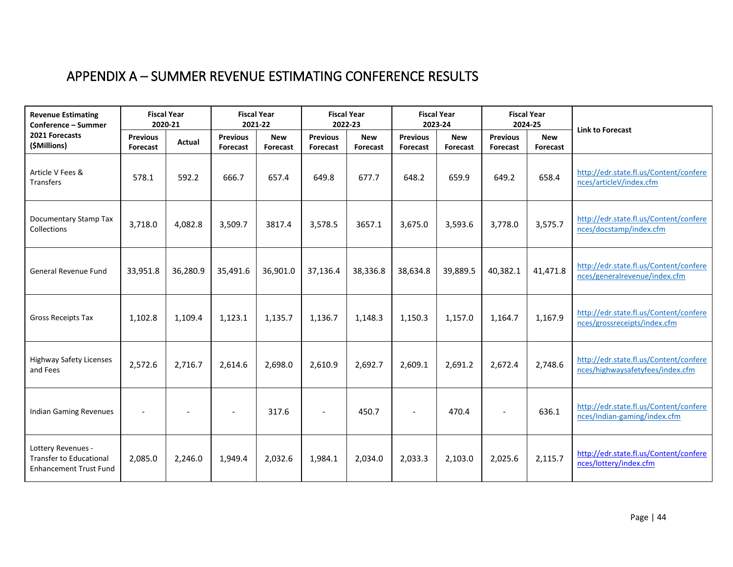# APPENDIX A – SUMMER REVENUE ESTIMATING CONFERENCE RESULTS

<span id="page-43-0"></span>

| <b>Revenue Estimating</b><br>Conference - Summer                                      | <b>Fiscal Year</b><br>2020-21 |               | <b>Fiscal Year</b><br>2021-22      |                        | <b>Fiscal Year</b><br>2022-23 |                        | <b>Fiscal Year</b><br>2023-24 |                        | <b>Fiscal Year</b><br>2024-25 |                        | <b>Link to Forecast</b>                                                    |  |
|---------------------------------------------------------------------------------------|-------------------------------|---------------|------------------------------------|------------------------|-------------------------------|------------------------|-------------------------------|------------------------|-------------------------------|------------------------|----------------------------------------------------------------------------|--|
| 2021 Forecasts<br>(\$Millions)                                                        | <b>Previous</b><br>Forecast   | <b>Actual</b> | <b>Previous</b><br><b>Forecast</b> | <b>New</b><br>Forecast | <b>Previous</b><br>Forecast   | <b>New</b><br>Forecast | <b>Previous</b><br>Forecast   | <b>New</b><br>Forecast | <b>Previous</b><br>Forecast   | <b>New</b><br>Forecast |                                                                            |  |
| Article V Fees &<br><b>Transfers</b>                                                  | 578.1                         | 592.2         | 666.7                              | 657.4                  | 649.8                         | 677.7                  | 648.2                         | 659.9                  | 649.2                         | 658.4                  | http://edr.state.fl.us/Content/confere<br>nces/articleV/index.cfm          |  |
| Documentary Stamp Tax<br>Collections                                                  | 3,718.0                       | 4,082.8       | 3,509.7                            | 3817.4                 | 3,578.5                       | 3657.1                 | 3,675.0                       | 3,593.6                | 3,778.0                       | 3,575.7                | http://edr.state.fl.us/Content/confere<br>nces/docstamp/index.cfm          |  |
| General Revenue Fund                                                                  | 33,951.8                      | 36,280.9      | 35,491.6                           | 36,901.0               | 37,136.4                      | 38,336.8               | 38,634.8                      | 39,889.5               | 40,382.1                      | 41,471.8               | http://edr.state.fl.us/Content/confere<br>nces/generalrevenue/index.cfm    |  |
| Gross Receipts Tax                                                                    | 1,102.8                       | 1,109.4       | 1,123.1                            | 1,135.7                | 1,136.7                       | 1,148.3                | 1,150.3                       | 1,157.0                | 1,164.7                       | 1,167.9                | http://edr.state.fl.us/Content/confere<br>nces/grossreceipts/index.cfm     |  |
| <b>Highway Safety Licenses</b><br>and Fees                                            | 2,572.6                       | 2,716.7       | 2,614.6                            | 2,698.0                | 2,610.9                       | 2,692.7                | 2,609.1                       | 2,691.2                | 2,672.4                       | 2,748.6                | http://edr.state.fl.us/Content/confere<br>nces/highwaysafetyfees/index.cfm |  |
| <b>Indian Gaming Revenues</b>                                                         |                               |               |                                    | 317.6                  | $\overline{\phantom{a}}$      | 450.7                  |                               | 470.4                  |                               | 636.1                  | http://edr.state.fl.us/Content/confere<br>nces/Indian-gaming/index.cfm     |  |
| Lottery Revenues -<br><b>Transfer to Educational</b><br><b>Enhancement Trust Fund</b> | 2,085.0                       | 2,246.0       | 1,949.4                            | 2,032.6                | 1,984.1                       | 2,034.0                | 2,033.3                       | 2,103.0                | 2,025.6                       | 2,115.7                | http://edr.state.fl.us/Content/confere<br>nces/lottery/index.cfm           |  |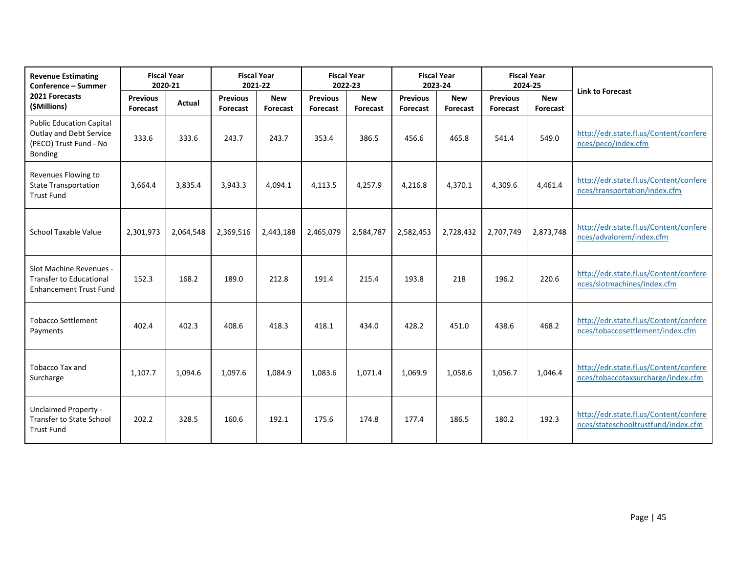| <b>Revenue Estimating</b><br>Conference - Summer                                                | <b>Fiscal Year</b><br>2020-21 |           | <b>Fiscal Year</b><br>2021-22 |                        | <b>Fiscal Year</b><br>2022-23 |                        | <b>Fiscal Year</b><br>2023-24 |                        | <b>Fiscal Year</b><br>2024-25 |                               | <b>Link to Forecast</b>                                                       |  |
|-------------------------------------------------------------------------------------------------|-------------------------------|-----------|-------------------------------|------------------------|-------------------------------|------------------------|-------------------------------|------------------------|-------------------------------|-------------------------------|-------------------------------------------------------------------------------|--|
| 2021 Forecasts<br>(\$Millions)                                                                  | <b>Previous</b><br>Forecast   | Actual    | <b>Previous</b><br>Forecast   | <b>New</b><br>Forecast | <b>Previous</b><br>Forecast   | <b>New</b><br>Forecast | <b>Previous</b><br>Forecast   | <b>New</b><br>Forecast | <b>Previous</b><br>Forecast   | <b>New</b><br><b>Forecast</b> |                                                                               |  |
| <b>Public Education Capital</b><br>Outlay and Debt Service<br>(PECO) Trust Fund - No<br>Bonding | 333.6                         | 333.6     | 243.7                         | 243.7                  | 353.4                         | 386.5                  | 456.6                         | 465.8                  | 541.4                         | 549.0                         | http://edr.state.fl.us/Content/confere<br>nces/peco/index.cfm                 |  |
| Revenues Flowing to<br><b>State Transportation</b><br><b>Trust Fund</b>                         | 3,664.4                       | 3,835.4   | 3,943.3                       | 4,094.1                | 4,113.5                       | 4,257.9                | 4,216.8                       | 4,370.1                | 4,309.6                       | 4,461.4                       | http://edr.state.fl.us/Content/confere<br>nces/transportation/index.cfm       |  |
| School Taxable Value                                                                            | 2,301,973                     | 2,064,548 | 2,369,516                     | 2,443,188              | 2,465,079                     | 2,584,787              | 2,582,453                     | 2,728,432              | 2,707,749                     | 2,873,748                     | http://edr.state.fl.us/Content/confere<br>nces/advalorem/index.cfm            |  |
| Slot Machine Revenues -<br><b>Transfer to Educational</b><br><b>Enhancement Trust Fund</b>      | 152.3                         | 168.2     | 189.0                         | 212.8                  | 191.4                         | 215.4                  | 193.8                         | 218                    | 196.2                         | 220.6                         | http://edr.state.fl.us/Content/confere<br>nces/slotmachines/index.cfm         |  |
| <b>Tobacco Settlement</b><br>Payments                                                           | 402.4                         | 402.3     | 408.6                         | 418.3                  | 418.1                         | 434.0                  | 428.2                         | 451.0                  | 438.6                         | 468.2                         | http://edr.state.fl.us/Content/confere<br>nces/tobaccosettlement/index.cfm    |  |
| Tobacco Tax and<br>Surcharge                                                                    | 1,107.7                       | 1,094.6   | 1,097.6                       | 1,084.9                | 1,083.6                       | 1,071.4                | 1,069.9                       | 1,058.6                | 1,056.7                       | 1,046.4                       | http://edr.state.fl.us/Content/confere<br>nces/tobaccotaxsurcharge/index.cfm  |  |
| <b>Unclaimed Property -</b><br><b>Transfer to State School</b><br><b>Trust Fund</b>             | 202.2                         | 328.5     | 160.6                         | 192.1                  | 175.6                         | 174.8                  | 177.4                         | 186.5                  | 180.2                         | 192.3                         | http://edr.state.fl.us/Content/confere<br>nces/stateschooltrustfund/index.cfm |  |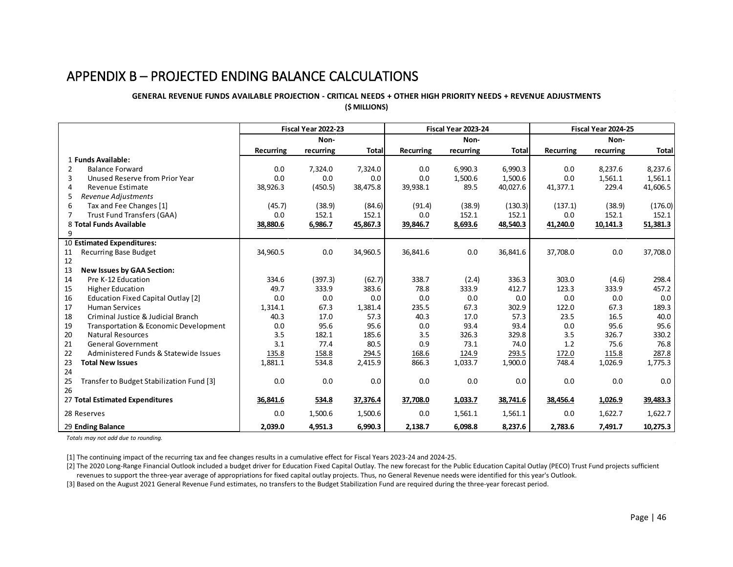## APPENDIX B – PROJECTED ENDING BALANCE CALCULATIONS

#### **GENERAL REVENUE FUNDS AVAILABLE PROJECTION - CRITICAL NEEDS + OTHER HIGH PRIORITY NEEDS + REVENUE ADJUSTMENTS (\$ MILLIONS)**

<span id="page-45-0"></span>

|                                 |                                           | Fiscal Year 2022-23 |           |              | Fiscal Year 2023-24 |           |              | Fiscal Year 2024-25 |           |              |
|---------------------------------|-------------------------------------------|---------------------|-----------|--------------|---------------------|-----------|--------------|---------------------|-----------|--------------|
|                                 |                                           |                     | Non-      |              |                     | Non-      |              |                     | Non-      |              |
|                                 |                                           | Recurring           | recurring | <b>Total</b> | <b>Recurring</b>    | recurring | <b>Total</b> | Recurring           | recurring | <b>Total</b> |
|                                 | 1 Funds Available:                        |                     |           |              |                     |           |              |                     |           |              |
| 2                               | <b>Balance Forward</b>                    | 0.0                 | 7,324.0   | 7,324.0      | 0.0                 | 6,990.3   | 6,990.3      | 0.0                 | 8,237.6   | 8,237.6      |
| 3                               | Unused Reserve from Prior Year            | 0.0                 | 0.0       | 0.0          | 0.0                 | 1,500.6   | 1,500.6      | 0.0                 | 1,561.1   | 1,561.1      |
| 4                               | Revenue Estimate                          | 38,926.3            | (450.5)   | 38,475.8     | 39,938.1            | 89.5      | 40,027.6     | 41,377.1            | 229.4     | 41,606.5     |
| 5                               | Revenue Adjustments                       |                     |           |              |                     |           |              |                     |           |              |
| 6                               | Tax and Fee Changes [1]                   | (45.7)              | (38.9)    | (84.6)       | (91.4)              | (38.9)    | (130.3)      | (137.1)             | (38.9)    | (176.0)      |
| 7                               | Trust Fund Transfers (GAA)                | 0.0                 | 152.1     | 152.1        | 0.0                 | 152.1     | 152.1        | 0.0                 | 152.1     | 152.1        |
|                                 | 8 Total Funds Available                   | 38,880.6            | 6,986.7   | 45,867.3     | 39,846.7            | 8,693.6   | 48,540.3     | 41,240.0            | 10,141.3  | 51,381.3     |
| 9                               |                                           |                     |           |              |                     |           |              |                     |           |              |
|                                 | 10 Estimated Expenditures:                |                     |           |              |                     |           |              |                     |           |              |
| 11                              | <b>Recurring Base Budget</b>              | 34,960.5            | 0.0       | 34,960.5     | 36,841.6            | 0.0       | 36,841.6     | 37,708.0            | 0.0       | 37,708.0     |
| 12                              |                                           |                     |           |              |                     |           |              |                     |           |              |
| 13                              | <b>New Issues by GAA Section:</b>         |                     |           |              |                     |           |              |                     |           |              |
| 14                              | Pre K-12 Education                        | 334.6               | (397.3)   | (62.7)       | 338.7               | (2.4)     | 336.3        | 303.0               | (4.6)     | 298.4        |
| 15                              | <b>Higher Education</b>                   | 49.7                | 333.9     | 383.6        | 78.8                | 333.9     | 412.7        | 123.3               | 333.9     | 457.2        |
| 16                              | Education Fixed Capital Outlay [2]        | 0.0                 | 0.0       | 0.0          | 0.0                 | 0.0       | 0.0          | 0.0                 | 0.0       | 0.0          |
| 17                              | <b>Human Services</b>                     | 1,314.1             | 67.3      | 1,381.4      | 235.5               | 67.3      | 302.9        | 122.0               | 67.3      | 189.3        |
| 18                              | Criminal Justice & Judicial Branch        | 40.3                | 17.0      | 57.3         | 40.3                | 17.0      | 57.3         | 23.5                | 16.5      | 40.0         |
| 19                              | Transportation & Economic Development     | 0.0                 | 95.6      | 95.6         | 0.0                 | 93.4      | 93.4         | 0.0                 | 95.6      | 95.6         |
| 20                              | Natural Resources                         | 3.5                 | 182.1     | 185.6        | 3.5                 | 326.3     | 329.8        | 3.5                 | 326.7     | 330.2        |
| 21                              | <b>General Government</b>                 | 3.1                 | 77.4      | 80.5         | 0.9                 | 73.1      | 74.0         | 1.2                 | 75.6      | 76.8         |
| 22                              | Administered Funds & Statewide Issues     | 135.8               | 158.8     | 294.5        | 168.6               | 124.9     | 293.5        | 172.0               | 115.8     | 287.8        |
| 23                              | <b>Total New Issues</b>                   | 1,881.1             | 534.8     | 2,415.9      | 866.3               | 1,033.7   | 1,900.0      | 748.4               | 1,026.9   | 1,775.3      |
| 24                              |                                           |                     |           |              |                     |           |              |                     |           |              |
| 25                              | Transfer to Budget Stabilization Fund [3] | 0.0                 | 0.0       | 0.0          | 0.0                 | 0.0       | 0.0          | 0.0                 | 0.0       | 0.0          |
| 26                              |                                           |                     |           |              |                     |           |              |                     |           |              |
| 27 Total Estimated Expenditures |                                           | 36,841.6            | 534.8     | 37,376.4     | 37,708.0            | 1,033.7   | 38,741.6     | 38,456.4            | 1,026.9   | 39,483.3     |
| 28 Reserves                     |                                           | 0.0                 | 1,500.6   | 1,500.6      | 0.0                 | 1,561.1   | 1,561.1      | 0.0                 | 1,622.7   | 1,622.7      |
| 29 Ending Balance               |                                           | 2,039.0             | 4,951.3   | 6,990.3      | 2,138.7             | 6,098.8   | 8,237.6      | 2,783.6             | 7,491.7   | 10,275.3     |

*Totals may not add due to rounding.*

[1] The continuing impact of the recurring tax and fee changes results in a cumulative effect for Fiscal Years 2023-24 and 2024-25.

[2] The 2020 Long-Range Financial Outlook included a budget driver for Education Fixed Capital Outlay. The new forecast for the Public Education Capital Outlay (PECO) Trust Fund projects sufficient revenues to support the three-year average of appropriations for fixed capital outlay projects. Thus, no General Revenue needs were identified for this year's Outlook.

[3] Based on the August 2021 General Revenue Fund estimates, no transfers to the Budget Stabilization Fund are required during the three-year forecast period.